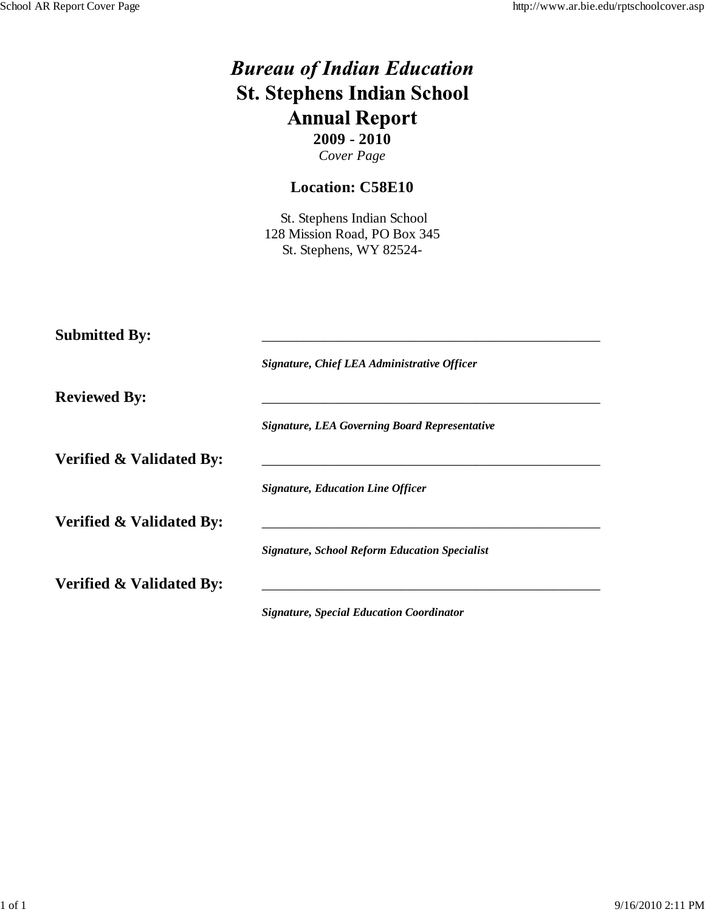|                                     | <b>Bureau of Indian Education</b><br><b>St. Stephens Indian School</b><br><b>Annual Report</b><br>$2009 - 2010$<br>Cover Page |
|-------------------------------------|-------------------------------------------------------------------------------------------------------------------------------|
|                                     | <b>Location: C58E10</b>                                                                                                       |
|                                     | St. Stephens Indian School<br>128 Mission Road, PO Box 345<br>St. Stephens, WY 82524-                                         |
| <b>Submitted By:</b>                |                                                                                                                               |
| <b>Reviewed By:</b>                 | Signature, Chief LEA Administrative Officer                                                                                   |
|                                     | <b>Signature, LEA Governing Board Representative</b>                                                                          |
| <b>Verified &amp; Validated By:</b> |                                                                                                                               |
|                                     | <b>Signature, Education Line Officer</b>                                                                                      |
| <b>Verified &amp; Validated By:</b> |                                                                                                                               |
|                                     | <b>Signature, School Reform Education Specialist</b>                                                                          |
| Verified & Validated By:            |                                                                                                                               |
|                                     | <b>Signature, Special Education Coordinator</b>                                                                               |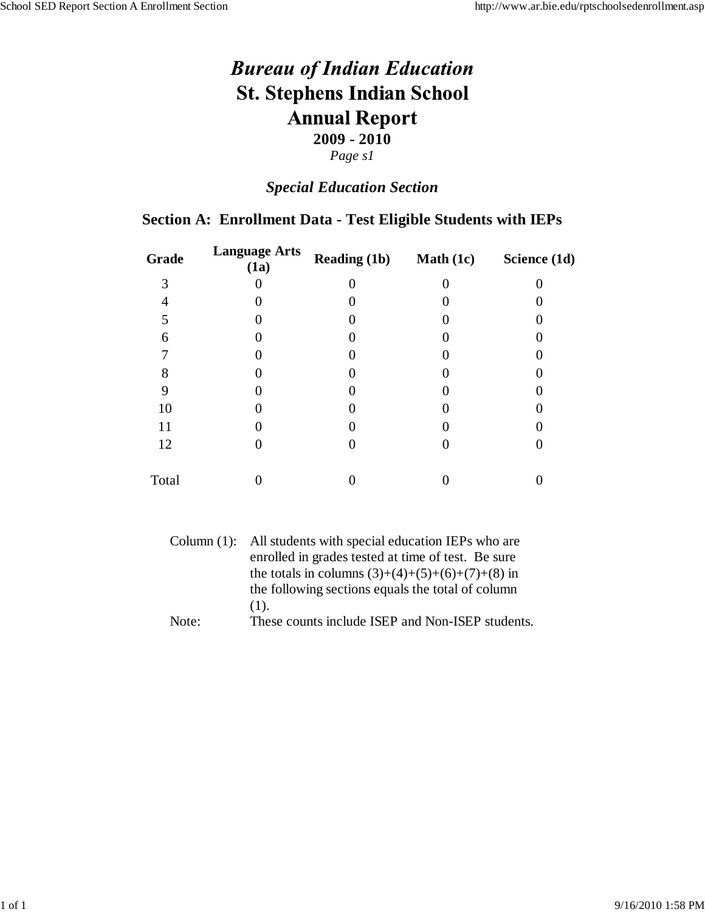# *Special Education Section*

#### **Section A: Enrollment Data - Test Eligible Students with IEPs**

| Grade | <b>Language Arts</b><br>(1a) | <b>Reading (1b)</b> | <b>Math</b> $(1c)$ | Science (1d) |
|-------|------------------------------|---------------------|--------------------|--------------|
| 3     |                              |                     |                    |              |
|       |                              |                     |                    |              |
| 5     |                              |                     |                    |              |
| 6     |                              |                     |                    |              |
|       |                              |                     |                    |              |
|       |                              |                     |                    |              |
| 9     |                              |                     |                    |              |
| 10    |                              |                     |                    |              |
| 11    |                              |                     |                    |              |
| 12    |                              |                     |                    |              |
| Total |                              |                     |                    |              |

|       | Column (1): All students with special education IEPs who are |
|-------|--------------------------------------------------------------|
|       | enrolled in grades tested at time of test. Be sure           |
|       | the totals in columns $(3)+(4)+(5)+(6)+(7)+(8)$ in           |
|       | the following sections equals the total of column            |
|       | $(1)$ .                                                      |
| Note: | These counts include ISEP and Non-ISEP students.             |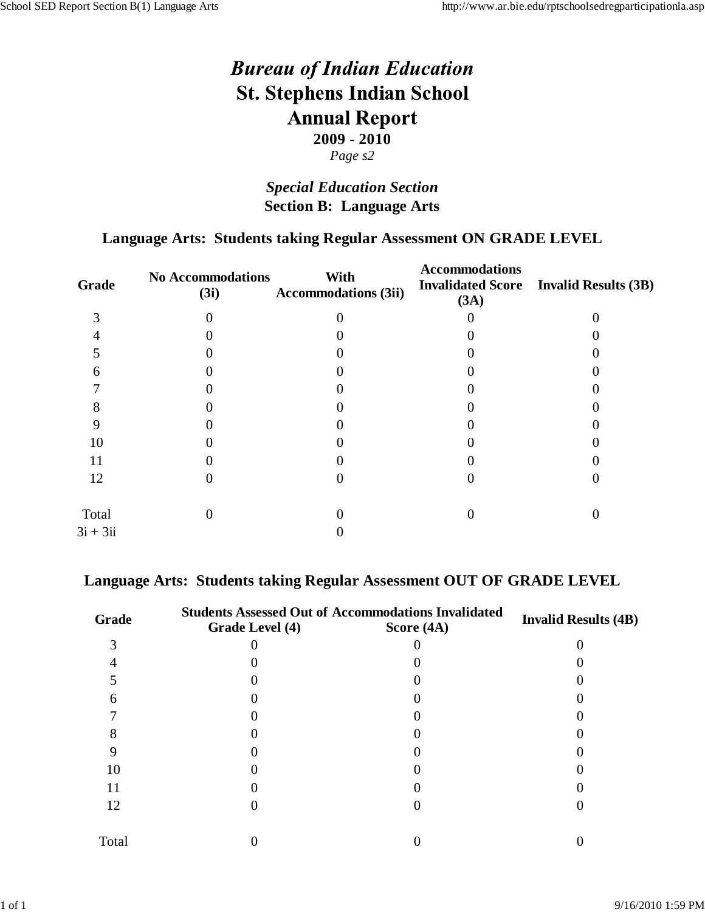## *Special Education Section* **Section B: Language Arts**

### **Language Arts: Students taking Regular Assessment ON GRADE LEVEL**

| <b>No Accommodations</b><br>(3i) | With<br><b>Accommodations (3ii)</b> | <b>Accommodations</b><br><b>Invalidated Score</b><br>(3A) | <b>Invalid Results (3B)</b> |
|----------------------------------|-------------------------------------|-----------------------------------------------------------|-----------------------------|
|                                  |                                     |                                                           |                             |
|                                  |                                     |                                                           |                             |
|                                  |                                     |                                                           |                             |
|                                  |                                     |                                                           |                             |
|                                  |                                     |                                                           |                             |
|                                  |                                     |                                                           |                             |
|                                  |                                     |                                                           |                             |
|                                  |                                     |                                                           |                             |
|                                  |                                     |                                                           |                             |
|                                  |                                     |                                                           |                             |
|                                  |                                     |                                                           |                             |
|                                  |                                     |                                                           |                             |
|                                  |                                     |                                                           |                             |

#### **Language Arts: Students taking Regular Assessment OUT OF GRADE LEVEL**

| Grade | <b>Students Assessed Out of Accommodations Invalidated</b><br>Grade Level (4)<br>Score $(4A)$ |  | <b>Invalid Results (4B)</b> |  |
|-------|-----------------------------------------------------------------------------------------------|--|-----------------------------|--|
|       |                                                                                               |  |                             |  |
|       |                                                                                               |  |                             |  |
|       |                                                                                               |  |                             |  |
| h     |                                                                                               |  |                             |  |
|       |                                                                                               |  |                             |  |
|       |                                                                                               |  |                             |  |
|       |                                                                                               |  |                             |  |
| 10    |                                                                                               |  |                             |  |
| 11    |                                                                                               |  |                             |  |
| 12    |                                                                                               |  |                             |  |
| Total |                                                                                               |  |                             |  |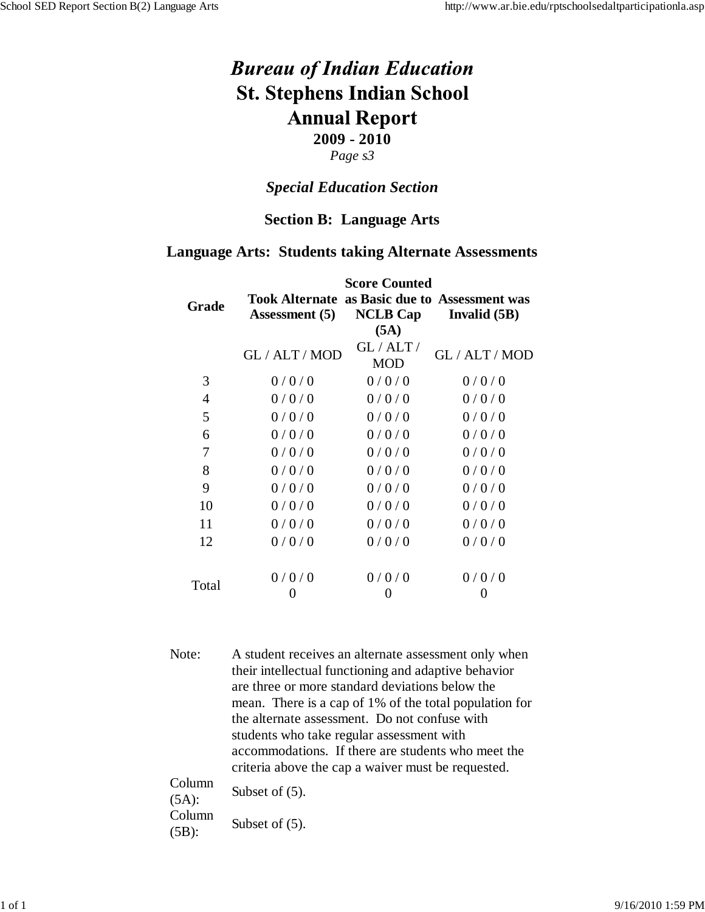#### *Page s3*

#### *Special Education Section*

#### **Section B: Language Arts**

#### **Language Arts: Students taking Alternate Assessments**

|       | <b>Score Counted</b> |                       |                                                                                   |  |  |
|-------|----------------------|-----------------------|-----------------------------------------------------------------------------------|--|--|
| Grade | Assessment (5)       | (5A)                  | <b>Took Alternate as Basic due to Assessment was</b><br>$NCLB Cap$ Invalid $(5B)$ |  |  |
|       | GL / ALT / MOD       | GL/ALT/<br><b>MOD</b> | GL / ALT / MOD                                                                    |  |  |
| 3     | 0/0/0                | 0/0/0                 | 0/0/0                                                                             |  |  |
| 4     | 0/0/0                | 0/0/0                 | 0/0/0                                                                             |  |  |
| 5     | 0/0/0                | 0/0/0                 | 0/0/0                                                                             |  |  |
| 6     | 0/0/0                | 0/0/0                 | 0/0/0                                                                             |  |  |
| 7     | 0/0/0                | 0/0/0                 | 0/0/0                                                                             |  |  |
| 8     | 0/0/0                | 0/0/0                 | 0/0/0                                                                             |  |  |
| 9     | 0/0/0                | 0/0/0                 | 0/0/0                                                                             |  |  |
| 10    | 0/0/0                | 0/0/0                 | 0/0/0                                                                             |  |  |
| 11    | 0/0/0                | 0/0/0                 | 0/0/0                                                                             |  |  |
| 12    | 0/0/0                | 0/0/0                 | 0/0/0                                                                             |  |  |
| Total | 0/0/0                | 0/0/0<br>0            | 0/0/0<br>O                                                                        |  |  |
|       |                      |                       |                                                                                   |  |  |

Note: A student receives an alternate assessment only when their intellectual functioning and adaptive behavior are three or more standard deviations below the mean. There is a cap of 1% of the total population for the alternate assessment. Do not confuse with students who take regular assessment with accommodations. If there are students who meet the criteria above the cap a waiver must be requested.

| Column<br>$(5A)$ : | Subset of $(5)$ . |
|--------------------|-------------------|
| Column             |                   |
| $(5B)$ :           | Subset of $(5)$ . |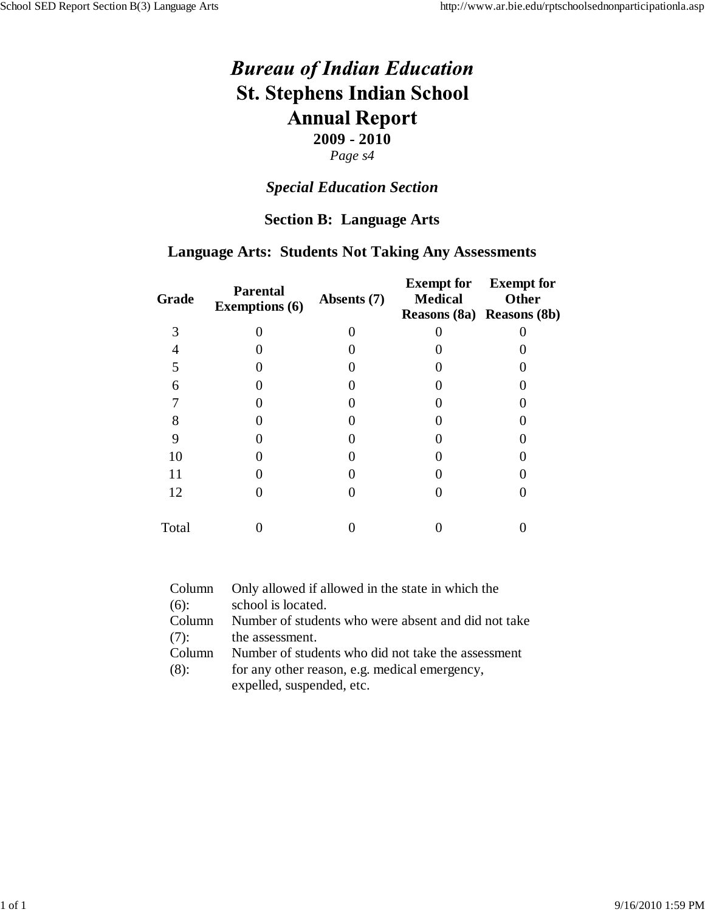#### *Special Education Section*

#### **Section B: Language Arts**

### **Language Arts: Students Not Taking Any Assessments**

| Grade | <b>Parental</b><br><b>Exemptions (6)</b> | Absents (7) | <b>Exempt for</b><br><b>Medical</b><br>Reasons (8a) Reasons (8b) | <b>Exempt for</b><br>Other |
|-------|------------------------------------------|-------------|------------------------------------------------------------------|----------------------------|
| 3     |                                          |             |                                                                  |                            |
|       |                                          |             |                                                                  |                            |
| 5     |                                          |             |                                                                  |                            |
| 6     |                                          |             |                                                                  |                            |
|       |                                          |             |                                                                  |                            |
| 8     |                                          |             |                                                                  |                            |
| 9     |                                          |             |                                                                  |                            |
| 10    |                                          |             |                                                                  |                            |
| 11    |                                          |             |                                                                  |                            |
| 12    |                                          |             |                                                                  |                            |
| Total |                                          |             |                                                                  |                            |

| Column  | Only allowed if allowed in the state in which the   |
|---------|-----------------------------------------------------|
| $(6)$ : | school is located.                                  |
| Column  | Number of students who were absent and did not take |
| $(7)$ : | the assessment.                                     |
| Column  | Number of students who did not take the assessment  |
| $(8)$ : | for any other reason, e.g. medical emergency,       |
|         | expelled, suspended, etc.                           |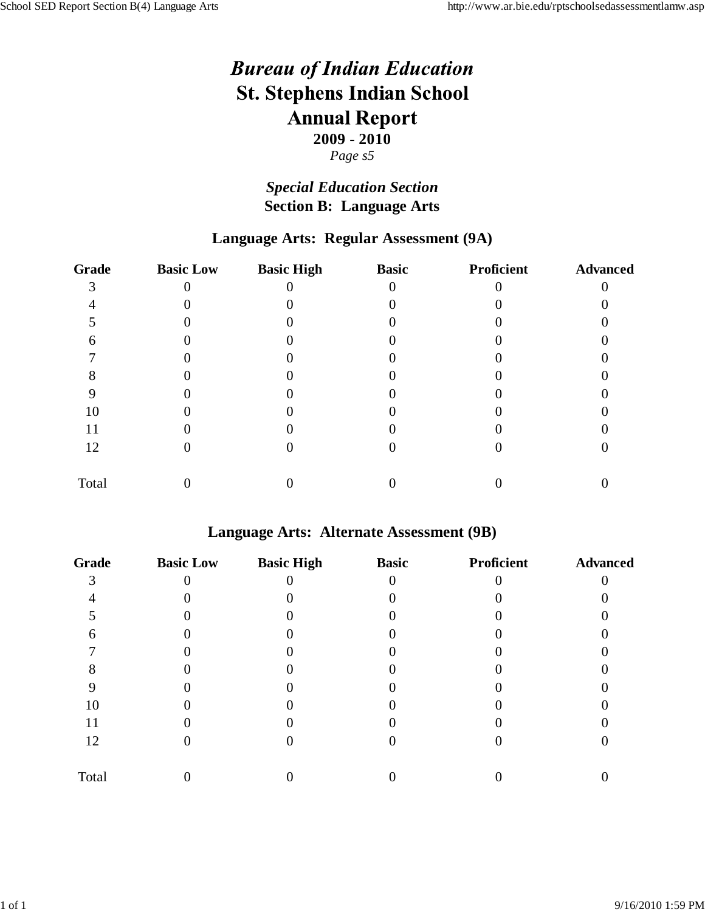#### *Page s5*

## *Special Education Section* **Section B: Language Arts**

### **Language Arts: Regular Assessment (9A)**

| <b>Grade</b> | <b>Basic Low</b> | <b>Basic High</b> | <b>Basic</b> | Proficient | <b>Advanced</b> |
|--------------|------------------|-------------------|--------------|------------|-----------------|
|              |                  |                   |              |            |                 |
|              |                  |                   |              |            |                 |
|              |                  |                   |              |            |                 |
|              |                  |                   |              |            |                 |
|              |                  |                   |              |            |                 |
|              |                  |                   |              |            |                 |
|              |                  |                   |              |            |                 |
| 10           |                  |                   |              |            |                 |
| 11           |                  |                   |              |            |                 |
| 12           |                  |                   |              |            |                 |
| Total        |                  |                   |              |            |                 |

#### **Language Arts: Alternate Assessment (9B)**

| <b>Grade</b> | <b>Basic Low</b> | <b>Basic High</b> | <b>Basic</b> | Proficient | <b>Advanced</b> |
|--------------|------------------|-------------------|--------------|------------|-----------------|
|              |                  |                   |              |            |                 |
|              |                  |                   |              |            |                 |
|              |                  |                   |              |            |                 |
|              |                  |                   |              |            |                 |
|              |                  |                   |              |            |                 |
|              |                  |                   |              |            |                 |
|              |                  |                   |              |            |                 |
| 10           |                  |                   |              |            |                 |
| 11           |                  |                   |              |            |                 |
| 12           |                  |                   |              |            |                 |
| Total        |                  |                   |              |            |                 |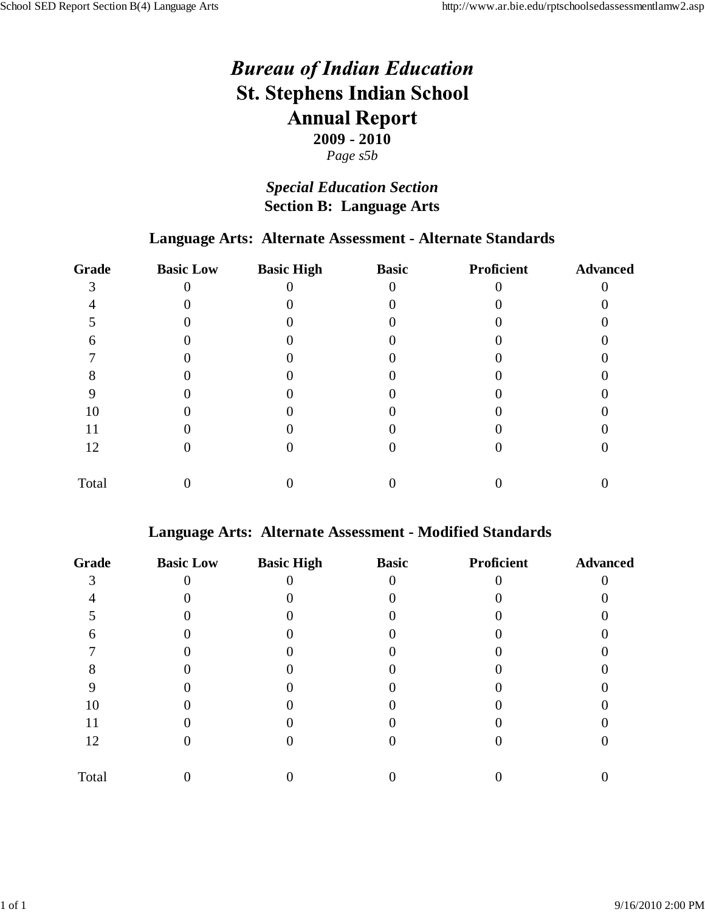#### *Page s5b*

## *Special Education Section* **Section B: Language Arts**

#### **Language Arts: Alternate Assessment - Alternate Standards**

| Grade | <b>Basic Low</b> | <b>Basic High</b> | <b>Basic</b> | Proficient | <b>Advanced</b> |
|-------|------------------|-------------------|--------------|------------|-----------------|
|       |                  |                   |              |            |                 |
|       |                  |                   |              |            |                 |
|       |                  |                   |              |            |                 |
|       |                  |                   |              |            |                 |
|       |                  |                   |              |            |                 |
|       |                  |                   |              |            |                 |
|       |                  |                   |              |            |                 |
| 10    |                  |                   |              |            |                 |
| 11    |                  |                   |              |            |                 |
| 12    |                  |                   |              |            |                 |
| Total |                  |                   |              |            |                 |

#### **Language Arts: Alternate Assessment - Modified Standards**

| <b>Grade</b> | <b>Basic Low</b> | <b>Basic High</b> | <b>Basic</b> | Proficient | <b>Advanced</b> |
|--------------|------------------|-------------------|--------------|------------|-----------------|
|              |                  |                   |              |            |                 |
|              |                  |                   |              |            |                 |
|              |                  |                   |              |            |                 |
| n            |                  |                   |              |            |                 |
|              |                  |                   |              |            |                 |
|              |                  |                   |              |            |                 |
|              |                  |                   |              |            |                 |
| 10           |                  |                   |              |            |                 |
| 11           |                  |                   |              |            |                 |
| 12           |                  |                   |              |            |                 |
| Total        |                  |                   |              |            |                 |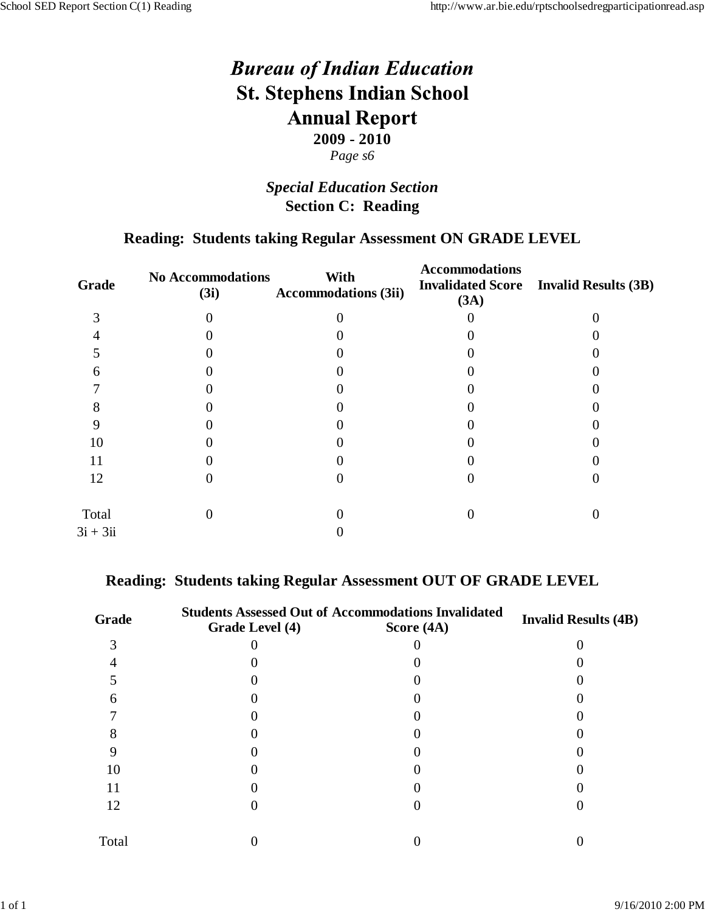## *Special Education Section* **Section C: Reading**

### **Reading: Students taking Regular Assessment ON GRADE LEVEL**

| <b>No Accommodations</b><br>(3i) | With<br><b>Accommodations (3ii)</b> | <b>Accommodations</b><br><b>Invalidated Score</b><br>(3A) | <b>Invalid Results (3B)</b> |
|----------------------------------|-------------------------------------|-----------------------------------------------------------|-----------------------------|
|                                  |                                     |                                                           |                             |
|                                  |                                     |                                                           |                             |
|                                  |                                     |                                                           |                             |
|                                  |                                     |                                                           |                             |
|                                  |                                     |                                                           |                             |
|                                  |                                     |                                                           |                             |
|                                  |                                     |                                                           |                             |
|                                  |                                     |                                                           |                             |
|                                  |                                     |                                                           |                             |
|                                  |                                     |                                                           |                             |
|                                  |                                     |                                                           |                             |
|                                  |                                     |                                                           |                             |
|                                  |                                     |                                                           |                             |

#### **Reading: Students taking Regular Assessment OUT OF GRADE LEVEL**

| Grade | Grade Level (4) | <b>Students Assessed Out of Accommodations Invalidated</b><br>Score $(4A)$ | <b>Invalid Results (4B)</b> |
|-------|-----------------|----------------------------------------------------------------------------|-----------------------------|
|       |                 |                                                                            |                             |
|       |                 |                                                                            |                             |
|       |                 |                                                                            |                             |
| h     |                 |                                                                            |                             |
|       |                 |                                                                            |                             |
|       |                 |                                                                            |                             |
|       |                 |                                                                            |                             |
| 10    |                 |                                                                            |                             |
| 11    |                 |                                                                            |                             |
| 12    |                 |                                                                            |                             |
| Total |                 |                                                                            |                             |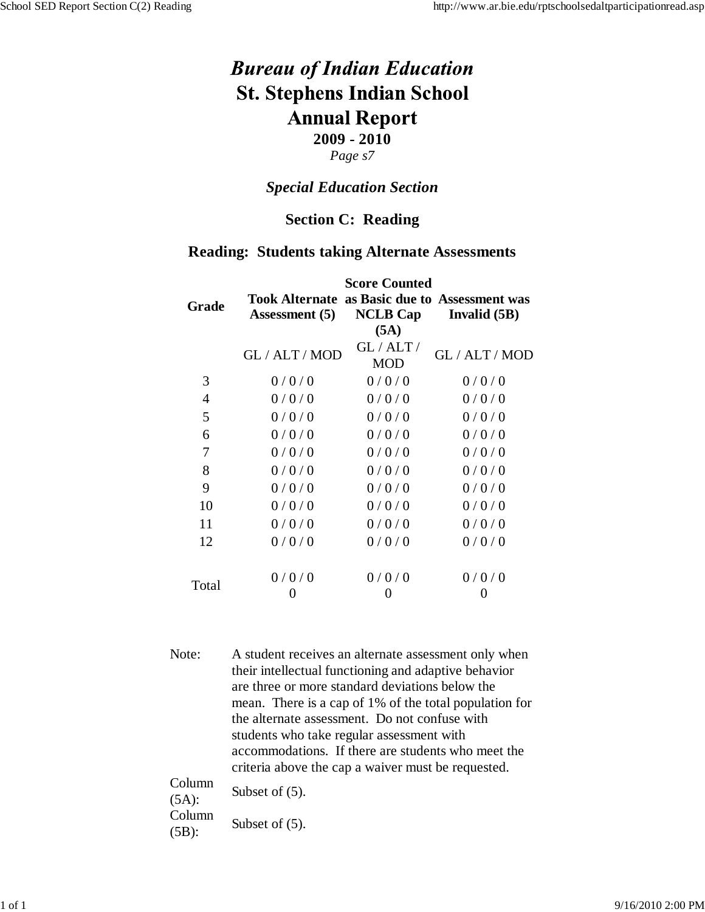# *Special Education Section*

#### **Section C: Reading**

#### **Reading: Students taking Alternate Assessments**

|       | <b>Score Counted</b>                                                          |                       |                           |  |  |  |
|-------|-------------------------------------------------------------------------------|-----------------------|---------------------------|--|--|--|
| Grade | <b>Took Alternate as Basic due to Assessment was</b><br><b>Assessment</b> (5) | (5A)                  | $NCLB Cap$ Invalid $(5B)$ |  |  |  |
|       | GL / ALT / MOD                                                                | GL/ALT/<br><b>MOD</b> | GL / ALT / MOD            |  |  |  |
| 3     | 0/0/0                                                                         | 0/0/0                 | 0/0/0                     |  |  |  |
| 4     | 0/0/0                                                                         | 0/0/0                 | 0/0/0                     |  |  |  |
| 5     | 0/0/0                                                                         | 0/0/0                 | 0/0/0                     |  |  |  |
| 6     | 0/0/0                                                                         | 0/0/0                 | 0/0/0                     |  |  |  |
| 7     | 0/0/0                                                                         | 0/0/0                 | 0/0/0                     |  |  |  |
| 8     | 0/0/0                                                                         | 0/0/0                 | 0/0/0                     |  |  |  |
| 9     | 0/0/0                                                                         | 0/0/0                 | 0/0/0                     |  |  |  |
| 10    | 0/0/0                                                                         | 0/0/0                 | 0/0/0                     |  |  |  |
| 11    | 0/0/0                                                                         | 0/0/0                 | 0/0/0                     |  |  |  |
| 12    | 0/0/0                                                                         | 0/0/0                 | 0/0/0                     |  |  |  |
|       | 0/0/0                                                                         | 0/0/0                 | 0/0/0                     |  |  |  |
| Total |                                                                               | 0                     | O                         |  |  |  |

Note: A student receives an alternate assessment only when their intellectual functioning and adaptive behavior are three or more standard deviations below the mean. There is a cap of 1% of the total population for the alternate assessment. Do not confuse with students who take regular assessment with accommodations. If there are students who meet the criteria above the cap a waiver must be requested.

| Column   | Subset of $(5)$ . |  |
|----------|-------------------|--|
| $(5A)$ : |                   |  |
| Column   |                   |  |
| $(5B)$ : | Subset of $(5)$ . |  |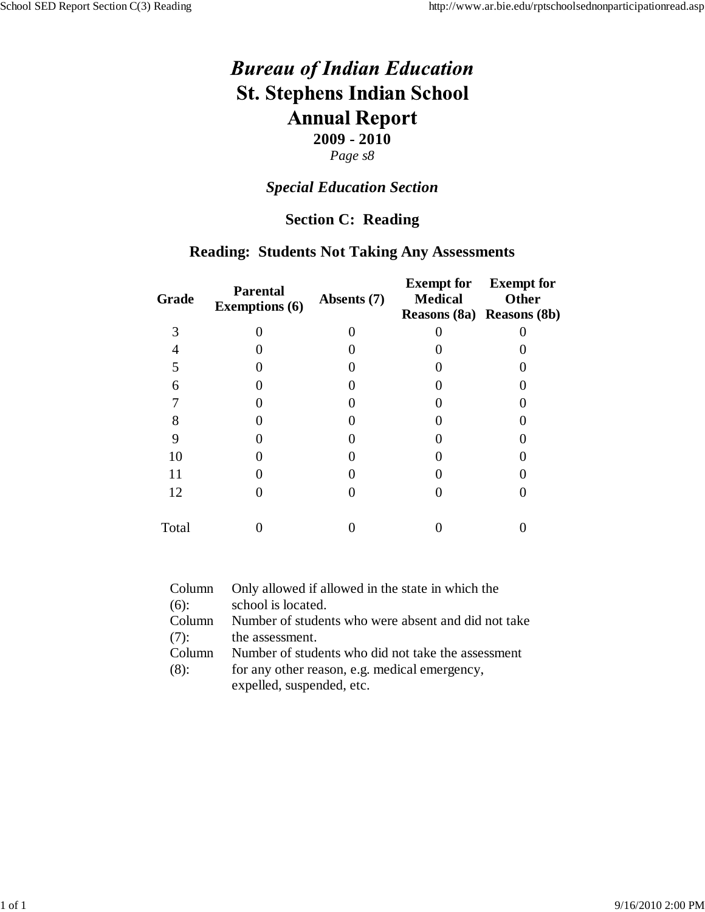#### *Special Education Section*

#### **Section C: Reading**

#### **Reading: Students Not Taking Any Assessments**

| Grade | <b>Parental</b><br><b>Exemptions (6)</b> | Absents (7) | <b>Exempt for</b><br><b>Medical</b><br>Reasons (8a) Reasons (8b) | <b>Exempt for</b><br>Other |
|-------|------------------------------------------|-------------|------------------------------------------------------------------|----------------------------|
| 3     |                                          |             |                                                                  |                            |
|       |                                          |             |                                                                  |                            |
| 5     |                                          |             |                                                                  |                            |
| 6     |                                          |             |                                                                  |                            |
|       |                                          |             |                                                                  |                            |
| 8     |                                          |             |                                                                  |                            |
| 9     |                                          |             |                                                                  |                            |
| 10    |                                          |             |                                                                  |                            |
| 11    |                                          |             |                                                                  |                            |
| 12    |                                          |             |                                                                  |                            |
| Total |                                          |             |                                                                  |                            |

| Column  | Only allowed if allowed in the state in which the   |
|---------|-----------------------------------------------------|
| $(6)$ : | school is located.                                  |
| Column  | Number of students who were absent and did not take |
| $(7)$ : | the assessment.                                     |
| Column  | Number of students who did not take the assessment  |
| $(8)$ : | for any other reason, e.g. medical emergency,       |
|         | expelled, suspended, etc.                           |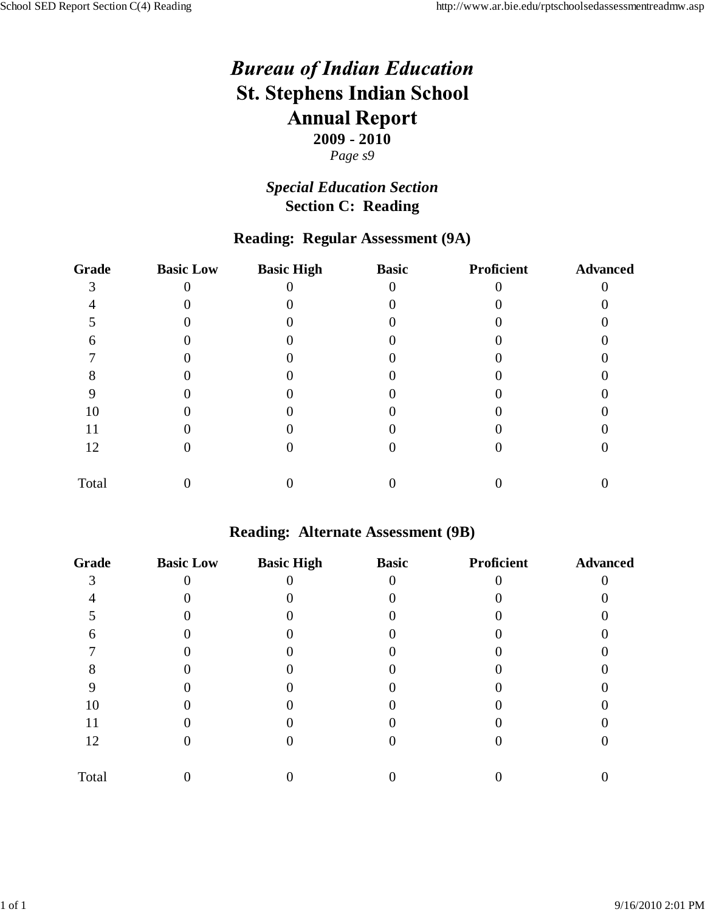## *Special Education Section* **Section C: Reading**

### **Reading: Regular Assessment (9A)**

| <b>Grade</b> | <b>Basic Low</b> | <b>Basic High</b> | <b>Basic</b> | Proficient | <b>Advanced</b> |
|--------------|------------------|-------------------|--------------|------------|-----------------|
|              |                  |                   |              |            |                 |
|              |                  |                   |              |            |                 |
|              |                  |                   |              |            |                 |
|              |                  |                   |              |            |                 |
|              |                  |                   |              |            |                 |
|              |                  |                   |              |            |                 |
|              |                  |                   |              |            |                 |
| 10           |                  |                   |              |            |                 |
| 11           |                  |                   |              |            |                 |
| 12           |                  |                   |              |            |                 |
| Total        |                  |                   |              |            |                 |

#### **Reading: Alternate Assessment (9B)**

| <b>Grade</b> | <b>Basic Low</b> | <b>Basic High</b> | <b>Basic</b> | Proficient | <b>Advanced</b> |
|--------------|------------------|-------------------|--------------|------------|-----------------|
|              |                  |                   |              |            |                 |
|              |                  |                   |              |            |                 |
|              |                  |                   |              |            |                 |
| 6            |                  |                   |              |            |                 |
|              |                  |                   |              |            |                 |
|              |                  |                   |              |            |                 |
|              |                  |                   |              |            |                 |
| 10           |                  |                   |              |            |                 |
| 11           |                  |                   |              |            |                 |
| 12           |                  |                   |              |            |                 |
| Total        |                  |                   |              |            |                 |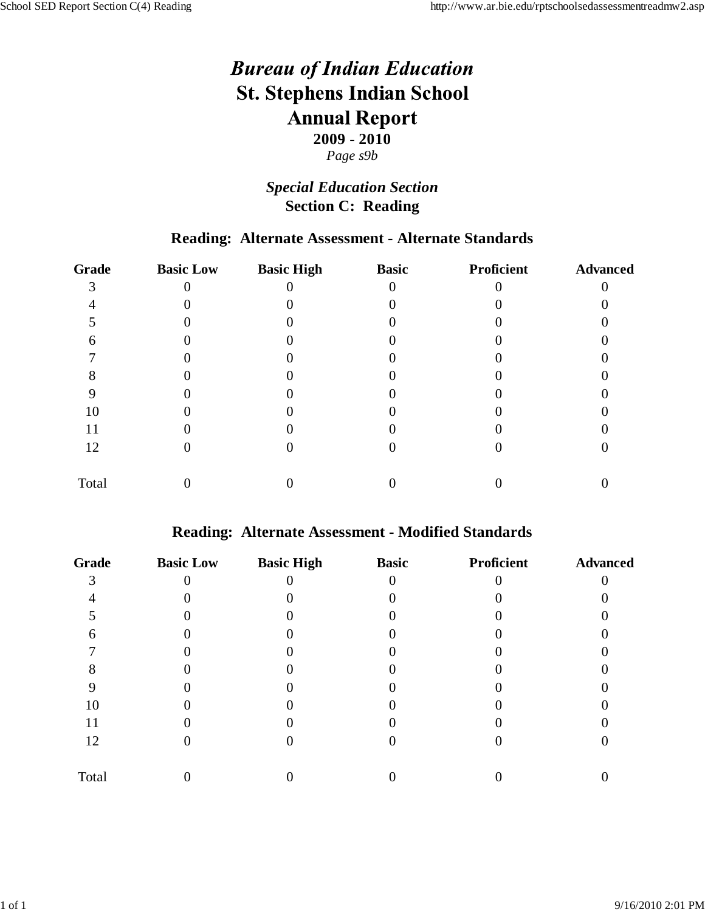# *Special Education Section* **Section C: Reading**

# **Reading: Alternate Assessment - Alternate Standards**

| <b>Grade</b> | <b>Basic Low</b> | <b>Basic High</b> | <b>Basic</b> | Proficient | <b>Advanced</b> |
|--------------|------------------|-------------------|--------------|------------|-----------------|
|              |                  |                   |              |            |                 |
|              |                  |                   |              |            |                 |
|              |                  |                   |              |            |                 |
|              |                  |                   |              |            |                 |
|              |                  |                   |              |            |                 |
|              |                  |                   |              |            |                 |
|              |                  |                   |              |            |                 |
| 10           |                  |                   |              |            |                 |
| 11           |                  |                   |              |            |                 |
| 12           |                  |                   |              |            |                 |
| Total        |                  |                   |              |            |                 |

## **Reading: Alternate Assessment - Modified Standards**

| <b>Grade</b> | <b>Basic Low</b> | <b>Basic High</b> | <b>Basic</b> | Proficient | <b>Advanced</b> |
|--------------|------------------|-------------------|--------------|------------|-----------------|
|              |                  |                   |              |            |                 |
|              |                  |                   |              |            |                 |
|              |                  |                   |              |            |                 |
|              |                  |                   |              |            |                 |
|              |                  |                   |              |            |                 |
|              |                  |                   |              |            |                 |
|              |                  |                   |              |            |                 |
| 10           |                  |                   |              |            |                 |
|              |                  |                   |              |            |                 |
| 12           |                  |                   |              |            |                 |
| Total        |                  |                   |              |            |                 |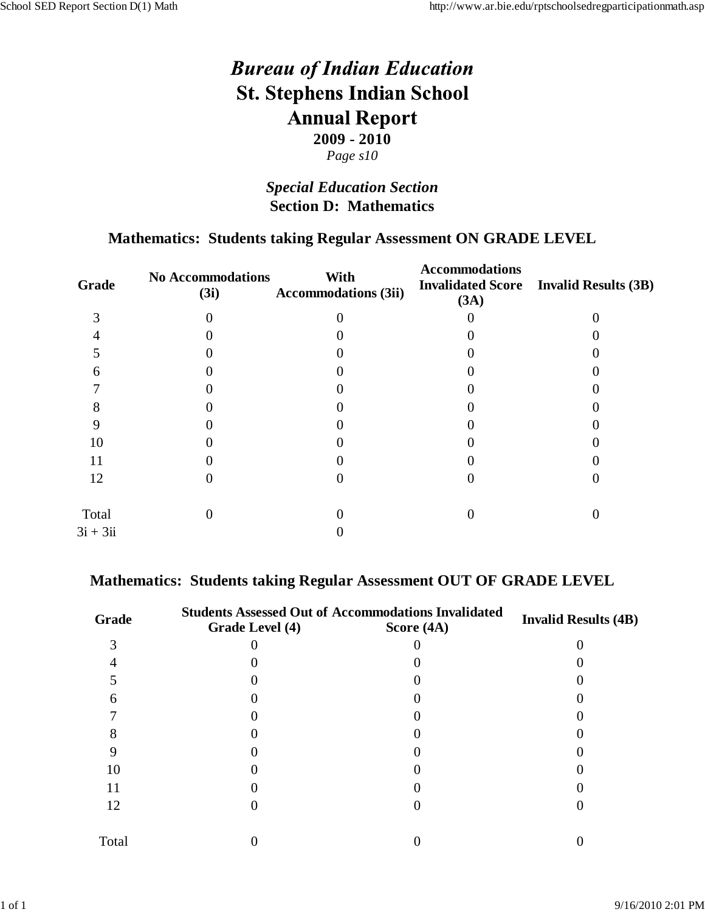## *Special Education Section* **Section D: Mathematics**

### **Mathematics: Students taking Regular Assessment ON GRADE LEVEL**

| <b>No Accommodations</b><br>(3i) | With<br><b>Accommodations (3ii)</b> | <b>Accommodations</b><br><b>Invalidated Score</b><br>(3A) | <b>Invalid Results (3B)</b> |
|----------------------------------|-------------------------------------|-----------------------------------------------------------|-----------------------------|
|                                  |                                     |                                                           |                             |
|                                  |                                     |                                                           |                             |
|                                  |                                     |                                                           |                             |
|                                  |                                     |                                                           |                             |
|                                  |                                     |                                                           |                             |
|                                  |                                     |                                                           |                             |
|                                  |                                     |                                                           |                             |
|                                  |                                     |                                                           |                             |
|                                  |                                     |                                                           |                             |
|                                  |                                     |                                                           |                             |
|                                  |                                     |                                                           |                             |
|                                  |                                     |                                                           |                             |
|                                  |                                     |                                                           |                             |

#### **Mathematics: Students taking Regular Assessment OUT OF GRADE LEVEL**

| Grade | Grade Level (4) | <b>Students Assessed Out of Accommodations Invalidated</b><br>Score $(4A)$ | <b>Invalid Results (4B)</b> |
|-------|-----------------|----------------------------------------------------------------------------|-----------------------------|
|       |                 |                                                                            |                             |
|       |                 |                                                                            |                             |
|       |                 |                                                                            |                             |
| h     |                 |                                                                            |                             |
|       |                 |                                                                            |                             |
|       |                 |                                                                            |                             |
|       |                 |                                                                            |                             |
| 10    |                 |                                                                            |                             |
| 11    |                 |                                                                            |                             |
| 12    |                 |                                                                            |                             |
| Total |                 |                                                                            |                             |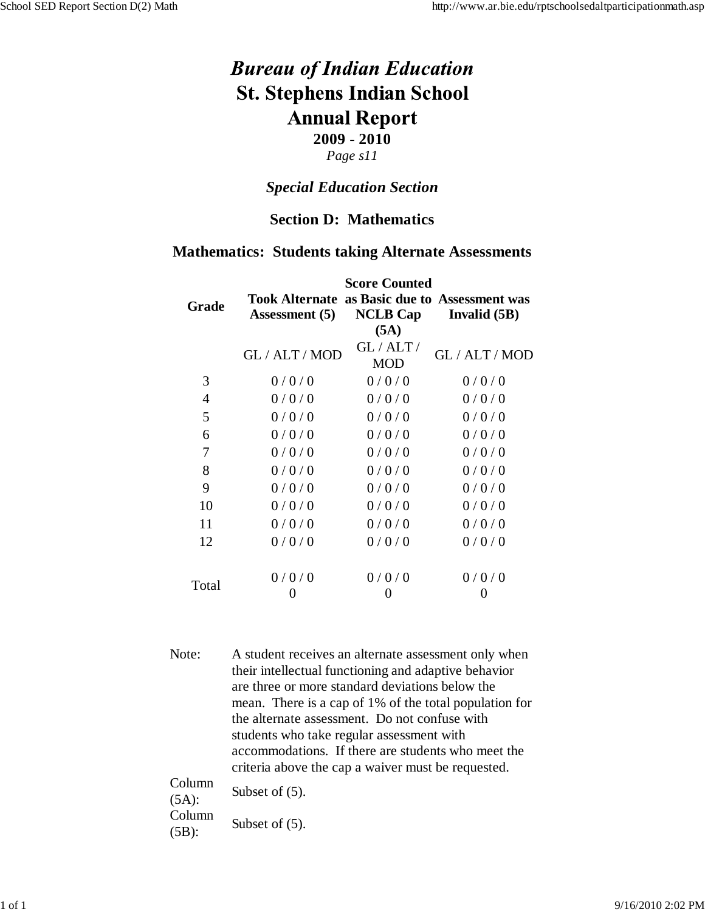## *Page s11*

#### *Special Education Section*

#### **Section D: Mathematics**

#### **Mathematics: Students taking Alternate Assessments**

|              | <b>Score Counted</b>                                                   |                         |                |  |  |
|--------------|------------------------------------------------------------------------|-------------------------|----------------|--|--|
| <b>Grade</b> | <b>Took Alternate as Basic due to Assessment was</b><br>Assessment (5) | <b>NCLB Cap</b><br>(5A) | Invalid $(5B)$ |  |  |
|              | GL / ALT / MOD                                                         | GL/ALT/<br><b>MOD</b>   | GL / ALT / MOD |  |  |
| 3            | 0/0/0                                                                  | 0/0/0                   | 0/0/0          |  |  |
| 4            | 0/0/0                                                                  | 0/0/0                   | 0/0/0          |  |  |
| 5            | 0/0/0                                                                  | 0/0/0                   | 0/0/0          |  |  |
| 6            | 0/0/0                                                                  | 0/0/0                   | 0/0/0          |  |  |
| 7            | 0/0/0                                                                  | 0/0/0                   | 0/0/0          |  |  |
| 8            | 0/0/0                                                                  | 0/0/0                   | 0/0/0          |  |  |
| 9            | 0/0/0                                                                  | 0/0/0                   | 0/0/0          |  |  |
| 10           | 0/0/0                                                                  | 0/0/0                   | 0/0/0          |  |  |
| 11           | 0/0/0                                                                  | 0/0/0                   | 0/0/0          |  |  |
| 12           | 0/0/0                                                                  | 0/0/0                   | 0/0/0          |  |  |
|              | 0/0/0                                                                  | 0/0/0                   | 0/0/0          |  |  |
| Total        |                                                                        | 0                       |                |  |  |

Note: A student receives an alternate assessment only when their intellectual functioning and adaptive behavior are three or more standard deviations below the mean. There is a cap of 1% of the total population for the alternate assessment. Do not confuse with students who take regular assessment with accommodations. If there are students who meet the criteria above the cap a waiver must be requested.

| Column<br>$(5A)$ : | Subset of $(5)$ . |
|--------------------|-------------------|
| Column<br>$(5B)$ : | Subset of $(5)$ . |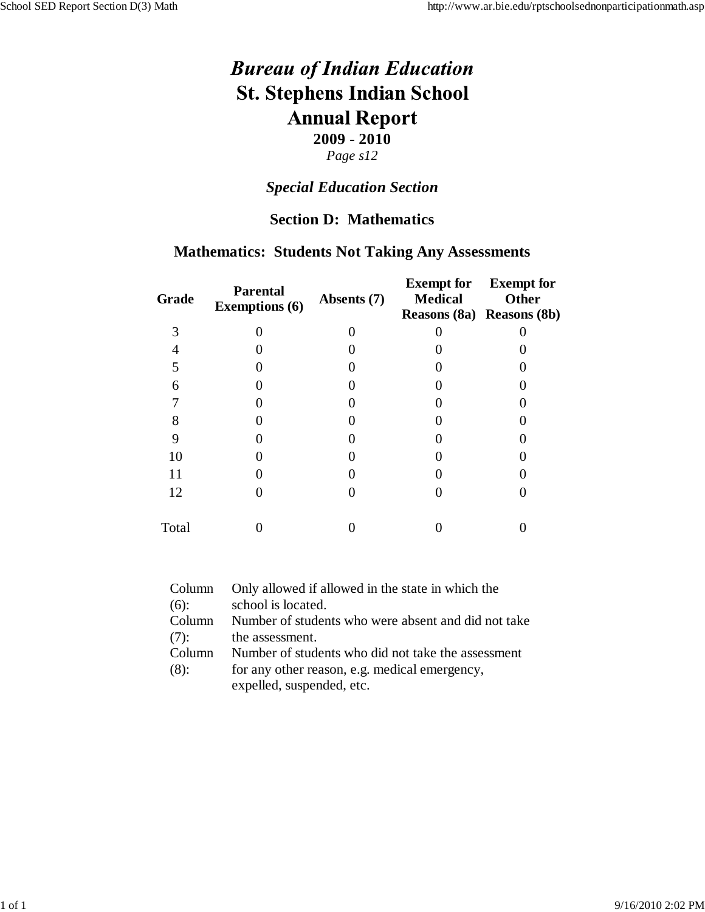# *Special Education Section*

### **Section D: Mathematics**

#### **Mathematics: Students Not Taking Any Assessments**

| <b>Grade</b> | <b>Parental</b><br><b>Exemptions (6)</b> | Absents (7) | <b>Exempt for</b><br><b>Medical</b><br>Reasons (8a) Reasons (8b) | <b>Exempt for</b><br>Other |
|--------------|------------------------------------------|-------------|------------------------------------------------------------------|----------------------------|
| 3            |                                          |             |                                                                  |                            |
|              |                                          |             |                                                                  |                            |
|              |                                          |             |                                                                  |                            |
| 6            |                                          |             |                                                                  |                            |
|              |                                          |             |                                                                  |                            |
| 8            |                                          |             |                                                                  |                            |
| 9            |                                          |             |                                                                  |                            |
| 10           |                                          |             |                                                                  |                            |
| 11           |                                          |             |                                                                  |                            |
| 12           |                                          |             |                                                                  |                            |
| Total        |                                          |             |                                                                  |                            |

| Column  | Only allowed if allowed in the state in which the   |
|---------|-----------------------------------------------------|
| $(6)$ : | school is located.                                  |
| Column  | Number of students who were absent and did not take |
| $(7)$ : | the assessment.                                     |
| Column  | Number of students who did not take the assessment  |
| $(8)$ : | for any other reason, e.g. medical emergency,       |
|         | expelled, suspended, etc.                           |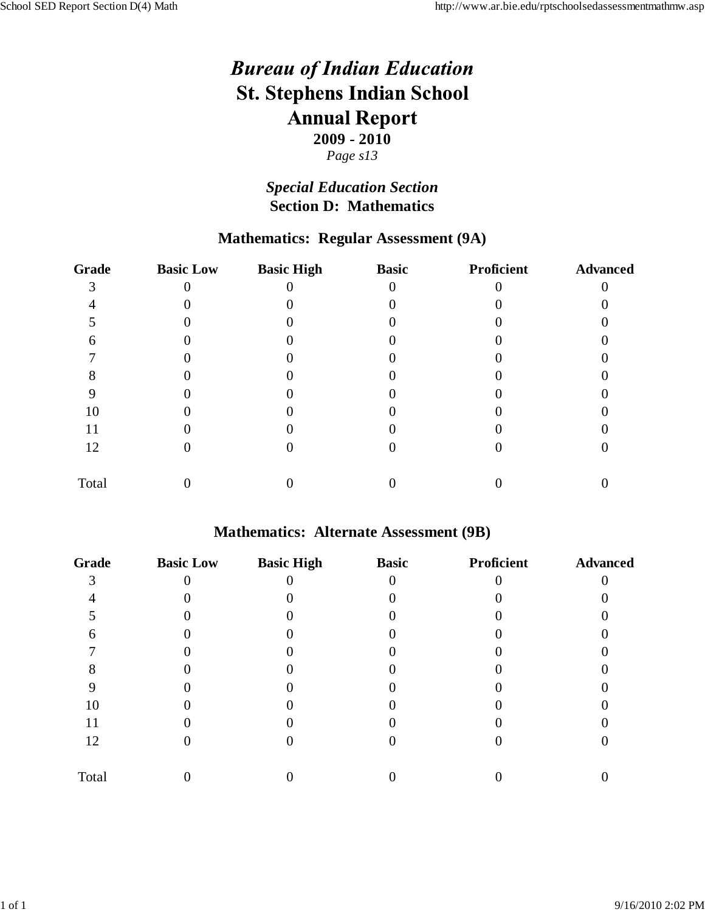## *Special Education Section* **Section D: Mathematics**

# **Mathematics: Regular Assessment (9A)**

| Grade | <b>Basic Low</b> | <b>Basic High</b> | <b>Basic</b> | Proficient | <b>Advanced</b> |
|-------|------------------|-------------------|--------------|------------|-----------------|
|       |                  |                   |              |            |                 |
|       |                  |                   |              |            |                 |
|       |                  |                   |              |            |                 |
|       |                  |                   |              |            |                 |
|       |                  |                   |              |            |                 |
|       |                  |                   |              |            |                 |
|       |                  |                   |              |            |                 |
| 10    |                  |                   |              |            |                 |
| 11    |                  |                   |              |            |                 |
| 12    |                  |                   |              |            |                 |
| Total |                  |                   |              |            |                 |

#### **Mathematics: Alternate Assessment (9B)**

| <b>Grade</b> | <b>Basic Low</b> | <b>Basic High</b> | <b>Basic</b> | Proficient | <b>Advanced</b> |
|--------------|------------------|-------------------|--------------|------------|-----------------|
| ⌒            |                  |                   |              |            |                 |
|              |                  |                   |              |            |                 |
|              |                  |                   |              |            |                 |
|              |                  |                   |              |            |                 |
|              |                  |                   |              |            |                 |
|              |                  |                   |              |            |                 |
|              |                  |                   |              |            |                 |
| 10           |                  |                   |              |            |                 |
| 11           |                  |                   |              |            |                 |
| 12           |                  |                   |              |            |                 |
| Total        |                  |                   |              |            |                 |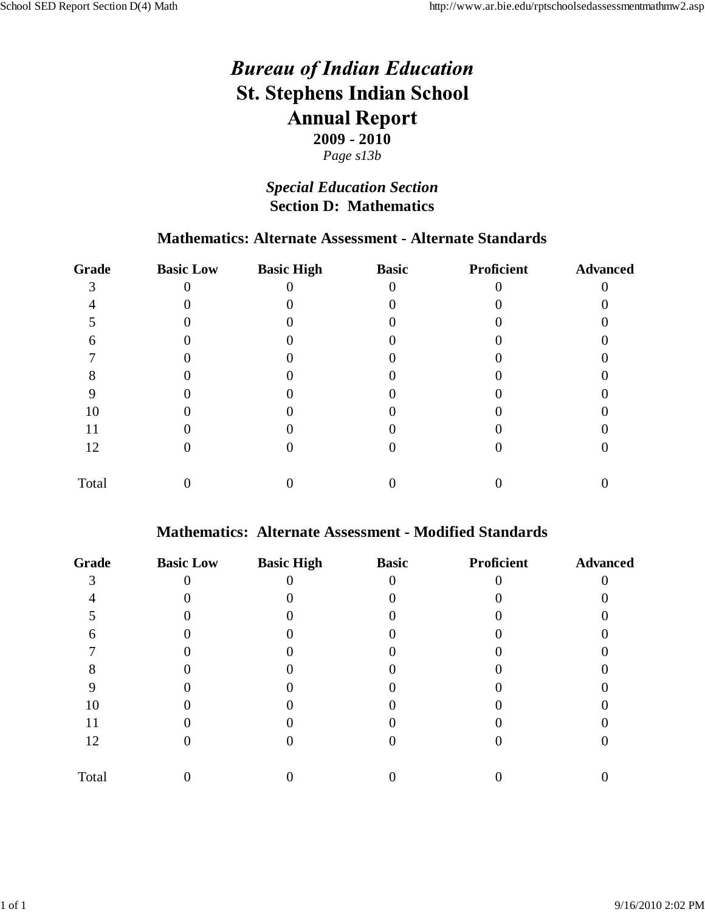## *Special Education Section* **Section D: Mathematics**

#### **Mathematics: Alternate Assessment - Alternate Standards**

| <b>Grade</b> | <b>Basic Low</b> | <b>Basic High</b> | <b>Basic</b> | Proficient | <b>Advanced</b> |
|--------------|------------------|-------------------|--------------|------------|-----------------|
|              |                  |                   |              |            |                 |
|              |                  |                   |              |            |                 |
|              |                  |                   |              |            |                 |
|              |                  |                   |              |            |                 |
|              |                  |                   |              |            |                 |
|              |                  |                   |              |            |                 |
|              |                  |                   |              |            |                 |
| 10           |                  |                   |              |            |                 |
| 11           |                  |                   |              |            |                 |
| 12           |                  |                   |              |            |                 |
| Total        |                  |                   |              |            |                 |

#### **Mathematics: Alternate Assessment - Modified Standards**

| <b>Grade</b> | <b>Basic Low</b> | <b>Basic High</b> | <b>Basic</b> | <b>Proficient</b> | <b>Advanced</b> |
|--------------|------------------|-------------------|--------------|-------------------|-----------------|
|              |                  |                   |              |                   |                 |
|              |                  |                   |              |                   |                 |
|              |                  |                   |              |                   |                 |
|              |                  |                   |              |                   |                 |
|              |                  |                   |              |                   |                 |
|              |                  |                   |              |                   |                 |
|              |                  |                   |              |                   |                 |
| 10           |                  |                   |              |                   |                 |
| 11           |                  |                   |              |                   |                 |
| 12           |                  |                   |              |                   |                 |
| Total        |                  |                   |              |                   |                 |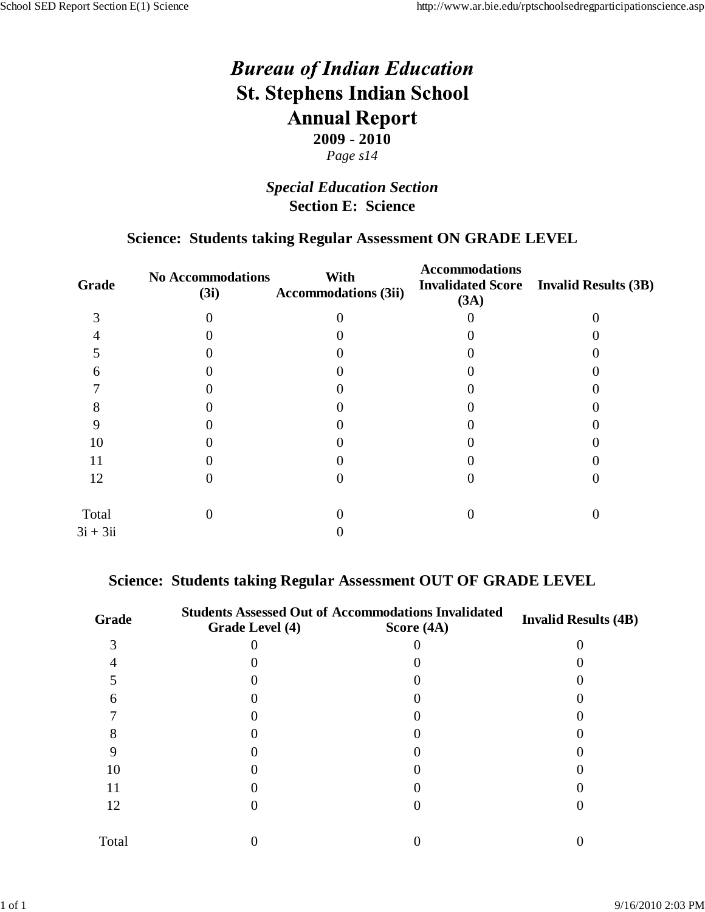## *Special Education Section* **Section E: Science**

#### **Science: Students taking Regular Assessment ON GRADE LEVEL**

| No Accommodations<br>(3i) | With<br><b>Accommodations (3ii)</b> | <b>Accommodations</b><br><b>Invalidated Score</b><br>(3A) | <b>Invalid Results (3B)</b> |
|---------------------------|-------------------------------------|-----------------------------------------------------------|-----------------------------|
|                           |                                     |                                                           |                             |
|                           |                                     |                                                           |                             |
|                           |                                     |                                                           |                             |
|                           |                                     |                                                           |                             |
|                           |                                     |                                                           |                             |
|                           |                                     |                                                           |                             |
|                           |                                     |                                                           |                             |
|                           |                                     |                                                           |                             |
|                           |                                     |                                                           |                             |
|                           |                                     |                                                           |                             |
|                           |                                     |                                                           |                             |
|                           |                                     |                                                           |                             |
|                           |                                     |                                                           |                             |

#### **Science: Students taking Regular Assessment OUT OF GRADE LEVEL**

| Grade | Grade Level (4) | <b>Students Assessed Out of Accommodations Invalidated</b><br>Score $(4A)$ | <b>Invalid Results (4B)</b> |
|-------|-----------------|----------------------------------------------------------------------------|-----------------------------|
|       |                 |                                                                            |                             |
|       |                 |                                                                            |                             |
|       |                 |                                                                            |                             |
| h     |                 |                                                                            |                             |
|       |                 |                                                                            |                             |
|       |                 |                                                                            |                             |
|       |                 |                                                                            |                             |
| 10    |                 |                                                                            |                             |
| 11    |                 |                                                                            |                             |
| 12    |                 |                                                                            |                             |
| Total |                 |                                                                            |                             |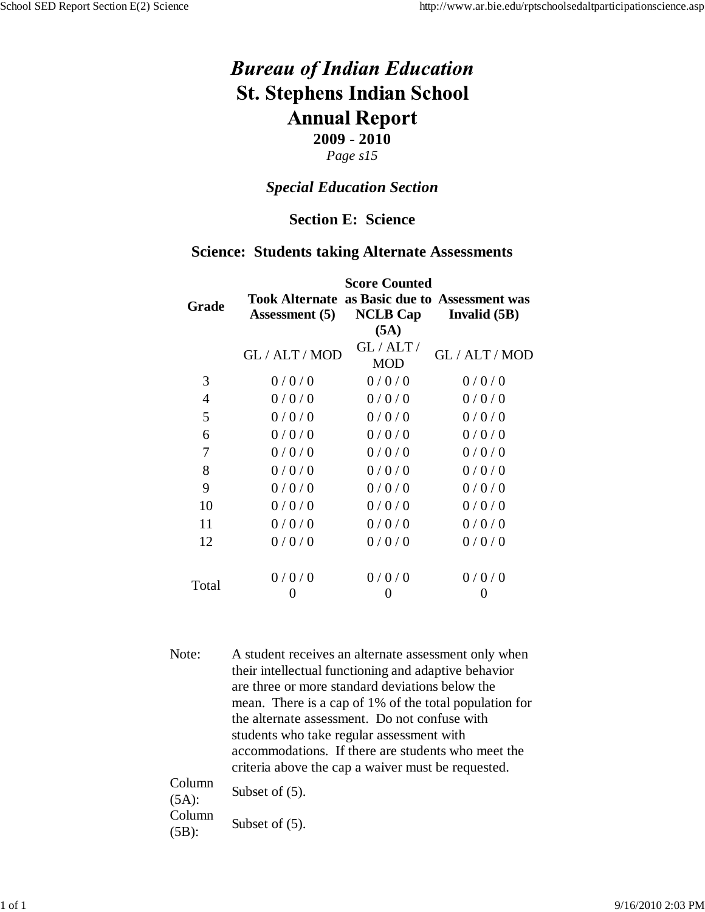# *Page s15*

#### *Special Education Section*

#### **Section E: Science**

#### **Science: Students taking Alternate Assessments**

| <b>Score Counted</b>                                                                                               |                       |                |  |  |
|--------------------------------------------------------------------------------------------------------------------|-----------------------|----------------|--|--|
| <b>Took Alternate as Basic due to Assessment was</b><br><b>NCLB Cap</b><br>Invalid $(5B)$<br><b>Assessment</b> (5) |                       |                |  |  |
| GL / ALT / MOD                                                                                                     | GL/ALT/<br><b>MOD</b> | GL / ALT / MOD |  |  |
| 0/0/0                                                                                                              | 0/0/0                 | 0/0/0          |  |  |
| 0/0/0                                                                                                              | 0/0/0                 | 0/0/0          |  |  |
| 0/0/0                                                                                                              | 0/0/0                 | 0/0/0          |  |  |
| 0/0/0                                                                                                              | 0/0/0                 | 0/0/0          |  |  |
| 0/0/0                                                                                                              | 0/0/0                 | 0/0/0          |  |  |
| 0/0/0                                                                                                              | 0/0/0                 | 0/0/0          |  |  |
| 0/0/0                                                                                                              | 0/0/0                 | 0/0/0          |  |  |
| 0/0/0                                                                                                              | 0/0/0                 | 0/0/0          |  |  |
| 0/0/0                                                                                                              | 0/0/0                 | 0/0/0          |  |  |
| 0/0/0                                                                                                              | 0/0/0                 | 0/0/0          |  |  |
| 0/0/0                                                                                                              | 0/0/0                 | 0/0/0          |  |  |
|                                                                                                                    | 0                     | O              |  |  |
|                                                                                                                    |                       | (5A)           |  |  |

Note: A student receives an alternate assessment only when their intellectual functioning and adaptive behavior are three or more standard deviations below the mean. There is a cap of 1% of the total population for the alternate assessment. Do not confuse with students who take regular assessment with accommodations. If there are students who meet the criteria above the cap a waiver must be requested.

| Column<br>$(5A)$ : | Subset of $(5)$ . |
|--------------------|-------------------|
| Column             | Subset of $(5)$ . |
| $(5B)$ :           |                   |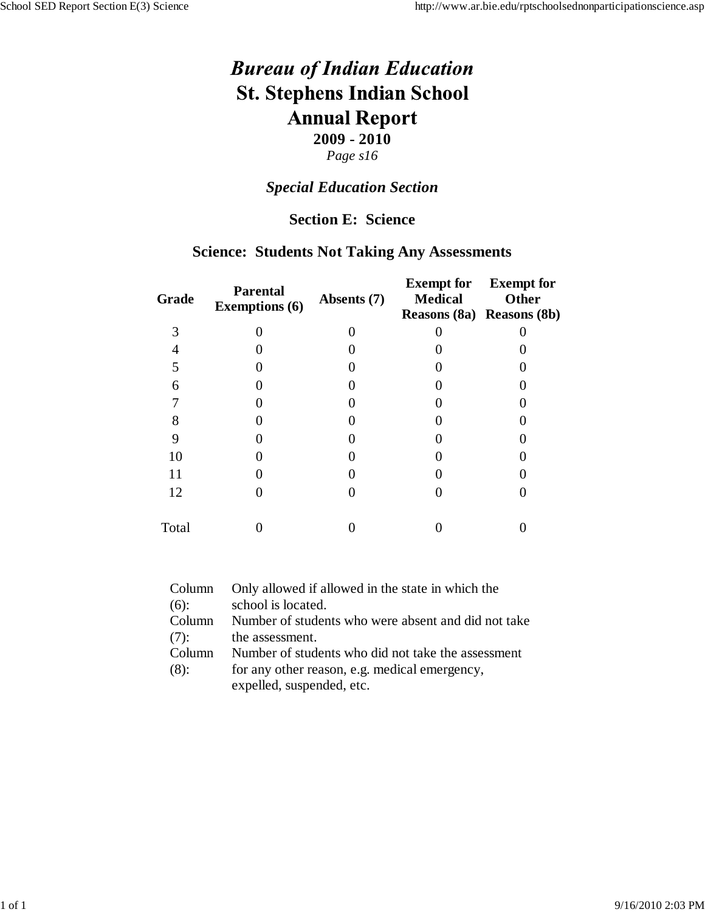#### *Special Education Section*

### **Section E: Science**

#### **Science: Students Not Taking Any Assessments**

| <b>Grade</b> | <b>Parental</b><br><b>Exemptions (6)</b> | Absents (7) | <b>Exempt for</b><br><b>Medical</b><br>Reasons (8a) Reasons (8b) | <b>Exempt for</b><br>Other |
|--------------|------------------------------------------|-------------|------------------------------------------------------------------|----------------------------|
| 3            |                                          |             |                                                                  |                            |
|              |                                          |             |                                                                  |                            |
|              |                                          |             |                                                                  |                            |
| 6            |                                          |             |                                                                  |                            |
|              |                                          |             |                                                                  |                            |
| 8            |                                          |             |                                                                  |                            |
| 9            |                                          |             |                                                                  |                            |
| 10           |                                          |             |                                                                  |                            |
| 11           |                                          |             |                                                                  |                            |
| 12           |                                          |             |                                                                  |                            |
| Total        |                                          |             |                                                                  |                            |

| Column  | Only allowed if allowed in the state in which the   |
|---------|-----------------------------------------------------|
| $(6)$ : | school is located.                                  |
| Column  | Number of students who were absent and did not take |
| $(7)$ : | the assessment.                                     |
| Column  | Number of students who did not take the assessment  |
| $(8)$ : | for any other reason, e.g. medical emergency,       |
|         | expelled, suspended, etc.                           |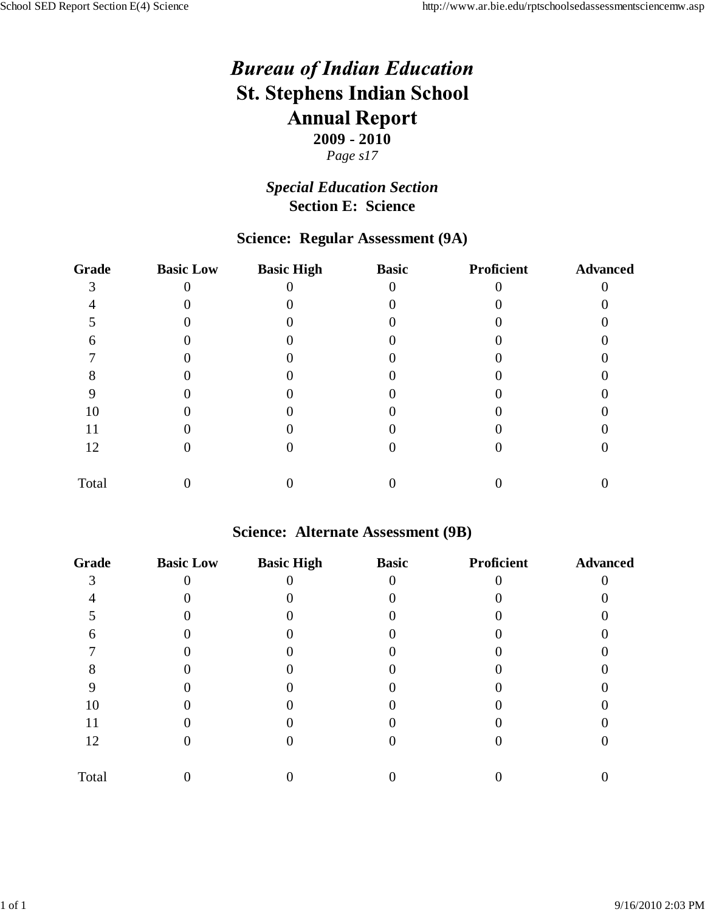### *Special Education Section* **Section E: Science**

## **Science: Regular Assessment (9A)**

| <b>Grade</b> | <b>Basic Low</b> | <b>Basic High</b> | <b>Basic</b> | Proficient | <b>Advanced</b> |
|--------------|------------------|-------------------|--------------|------------|-----------------|
|              |                  |                   |              |            |                 |
|              |                  |                   |              |            |                 |
|              |                  |                   |              |            |                 |
|              |                  |                   |              |            |                 |
|              |                  |                   |              |            |                 |
|              |                  |                   |              |            |                 |
|              |                  |                   |              |            |                 |
| 10           |                  |                   |              |            |                 |
| 11           |                  |                   |              |            |                 |
| 12           |                  |                   |              |            |                 |
| Total        |                  |                   |              |            |                 |

#### **Science: Alternate Assessment (9B)**

| <b>Grade</b> | <b>Basic Low</b> | <b>Basic High</b> | <b>Basic</b> | Proficient | <b>Advanced</b> |
|--------------|------------------|-------------------|--------------|------------|-----------------|
| ⌒            |                  |                   |              |            |                 |
|              |                  |                   |              |            |                 |
|              |                  |                   |              |            |                 |
|              |                  |                   |              |            |                 |
|              |                  |                   |              |            |                 |
|              |                  |                   |              |            |                 |
|              |                  |                   |              |            |                 |
| 10           |                  |                   |              |            |                 |
| 11           |                  |                   |              |            |                 |
| 12           |                  |                   |              |            |                 |
| Total        |                  |                   |              |            |                 |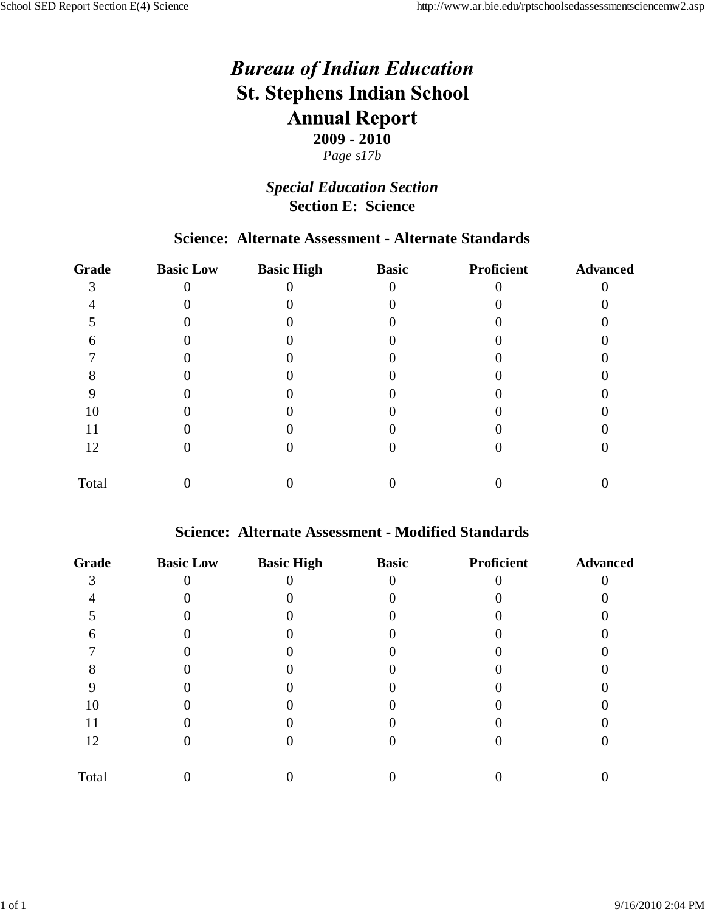### *Special Education Section* **Section E: Science**

## **Science: Alternate Assessment - Alternate Standards**

| <b>Grade</b> | <b>Basic Low</b> | <b>Basic High</b> | <b>Basic</b> | Proficient | <b>Advanced</b> |
|--------------|------------------|-------------------|--------------|------------|-----------------|
|              |                  |                   |              |            |                 |
|              |                  |                   |              |            |                 |
|              |                  |                   |              |            |                 |
|              |                  |                   |              |            |                 |
|              |                  |                   |              |            |                 |
|              |                  |                   |              |            |                 |
|              |                  |                   |              |            |                 |
| 10           |                  |                   |              |            |                 |
| 11           |                  |                   |              |            |                 |
| 12           |                  |                   |              |            |                 |
| Total        |                  |                   |              |            |                 |

#### **Science: Alternate Assessment - Modified Standards**

| <b>Grade</b> | <b>Basic Low</b> | <b>Basic High</b> | <b>Basic</b> | Proficient | <b>Advanced</b> |
|--------------|------------------|-------------------|--------------|------------|-----------------|
|              |                  |                   |              |            |                 |
|              |                  |                   |              |            |                 |
|              |                  |                   |              |            |                 |
|              |                  |                   |              |            |                 |
|              |                  |                   |              |            |                 |
|              |                  |                   |              |            |                 |
|              |                  |                   |              |            |                 |
| 10           |                  |                   |              |            |                 |
| 11           |                  |                   |              |            |                 |
| 12           |                  |                   |              |            |                 |
| Total        |                  |                   |              |            |                 |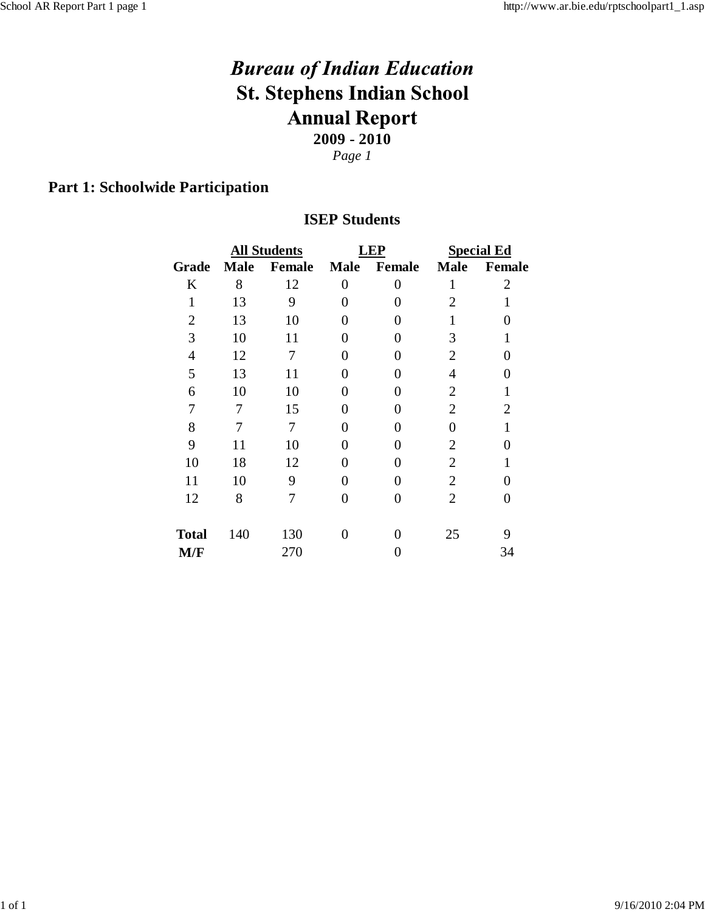*Page 1*

# **Part 1: Schoolwide Participation**

### **ISEP Students**

|                |             | <b>All Students</b> |                   | LEP            | <b>Special Ed</b> |                |  |
|----------------|-------------|---------------------|-------------------|----------------|-------------------|----------------|--|
| Grade          | <b>Male</b> | <b>Female</b>       | <b>Male</b>       | Female         | <b>Male</b>       | <b>Female</b>  |  |
| K              | 8           | 12                  | $\overline{0}$    | $\overline{0}$ | $\mathbf{1}$      | $\overline{2}$ |  |
| $\mathbf{1}$   | 13          | 9                   | 0                 | ∩              | $\overline{2}$    | 1              |  |
| $\overline{2}$ | 13          | 10                  | 0                 |                |                   | 0              |  |
| 3              | 10          | 11                  | 0                 |                | 3                 |                |  |
| $\overline{4}$ | 12          | 7                   | 0                 | 0              | 2                 | 0              |  |
| 5              | 13          | 11                  | 0                 | ∩              | 4                 | 0              |  |
| 6              | 10          | 10                  | 0                 | ∩              | $\overline{2}$    | 1              |  |
| 7              | 7           | 15                  | ∩                 | ∩              | $\overline{2}$    | $\overline{2}$ |  |
| 8              | 7           | 7                   | 0                 |                | 0                 |                |  |
| 9              | 11          | 10                  | 0                 |                | $\overline{2}$    | 0              |  |
| 10             | 18          | 12                  | 0                 |                | $\overline{2}$    | 1              |  |
| 11             | 10          | 9                   | 0                 | ∩              | $\overline{2}$    | 0              |  |
| 12             | 8           | 7                   | 0                 | 0              | $\overline{2}$    | 0              |  |
| <b>Total</b>   | 140         | 130                 | $\mathbf{\Omega}$ |                | 25                | 9              |  |
| M/F            |             | 270                 |                   |                |                   | 34             |  |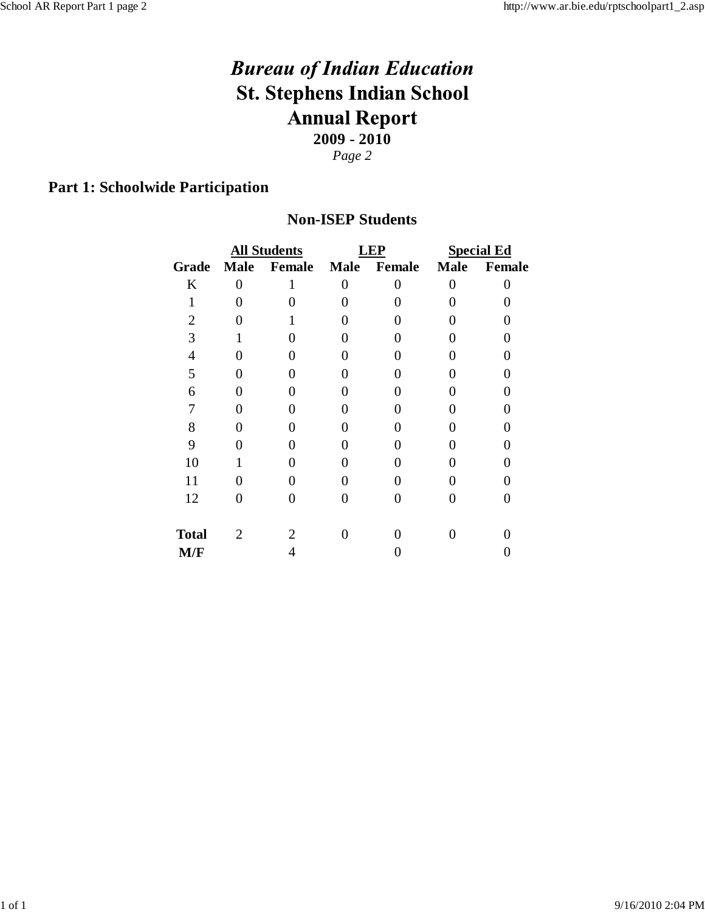*Page 2*

# **Part 1: Schoolwide Participation**

#### **Non-ISEP Students**

|                |              | <b>All Students</b> |   | <b>LEP</b>  | <b>Special Ed</b> |        |  |
|----------------|--------------|---------------------|---|-------------|-------------------|--------|--|
| <b>Grade</b>   | Male         | Female              |   | Male Female | <b>Male</b>       | Female |  |
| K              | 0            | 1                   | 0 | 0           | 0                 | 0      |  |
| $\mathbf{1}$   |              |                     |   |             |                   |        |  |
| $\overline{2}$ |              |                     |   |             |                   |        |  |
| 3              |              |                     |   |             | 0                 |        |  |
| 4              |              |                     |   |             | 0                 |        |  |
| 5              |              |                     |   |             | 0                 |        |  |
| 6              |              |                     |   |             |                   |        |  |
|                |              |                     |   |             |                   |        |  |
| 8              |              |                     |   |             |                   |        |  |
| 9              |              |                     |   |             |                   |        |  |
| 10             |              |                     |   |             |                   |        |  |
| 11             |              |                     |   |             |                   |        |  |
| 12             |              |                     |   |             |                   | 0      |  |
| <b>Total</b>   | $\mathbf{2}$ |                     |   |             |                   |        |  |
| M/F            |              |                     |   |             |                   |        |  |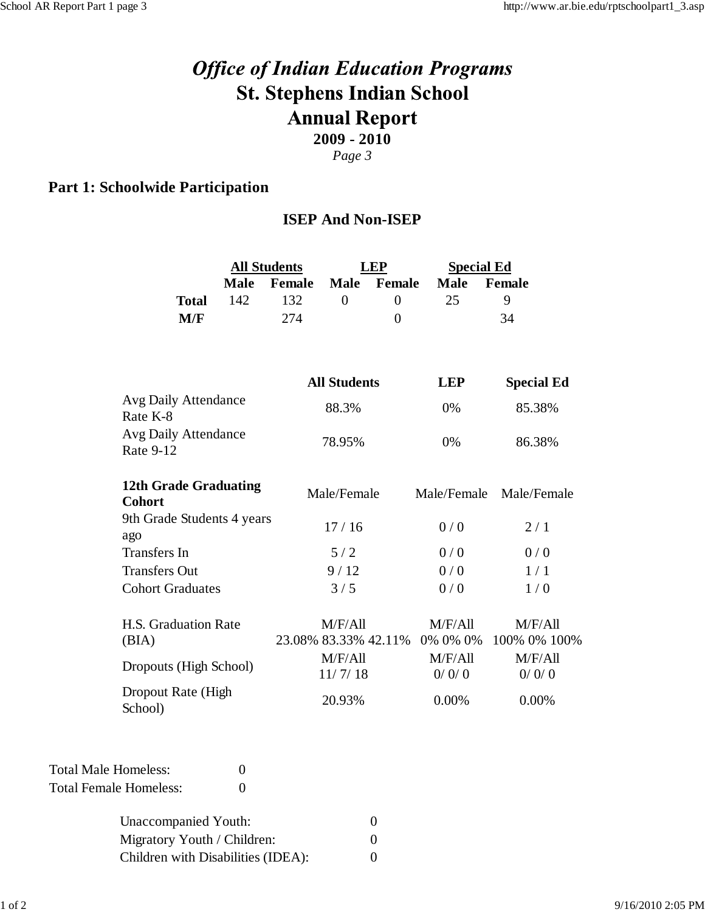# **Office of Indian Education Programs St. Stephens Indian School Annual Report 2009 - 2010**

*Page 3*

# **Part 1: Schoolwide Participation**

#### **ISEP And Non-ISEP**

|                                               | <b>All Students</b> |        | <b>LEP</b>                      |                | <b>Special Ed</b>   |                         |  |
|-----------------------------------------------|---------------------|--------|---------------------------------|----------------|---------------------|-------------------------|--|
|                                               | <b>Male</b>         | Female | <b>Male</b>                     | Female         | <b>Male</b>         | Female                  |  |
| <b>Total</b>                                  | 142                 | 132    | $\theta$                        | $\overline{0}$ | 25                  | 9                       |  |
| M/F                                           |                     | 274    |                                 | $\theta$       |                     | 34                      |  |
|                                               |                     |        |                                 |                |                     |                         |  |
|                                               |                     |        | <b>All Students</b>             |                | <b>LEP</b>          | <b>Special Ed</b>       |  |
| Avg Daily Attendance<br>Rate K-8              |                     |        | 88.3%                           |                | 0%                  | 85.38%                  |  |
| Avg Daily Attendance<br>Rate 9-12             |                     | 78.95% |                                 | 0%             | 86.38%              |                         |  |
| <b>12th Grade Graduating</b><br><b>Cohort</b> |                     |        | Male/Female                     |                | Male/Female         | Male/Female             |  |
| 9th Grade Students 4 years<br>ago             |                     |        | 17/16                           |                | 0/0                 | 2/1                     |  |
| <b>Transfers</b> In                           |                     |        | 5/2                             |                | 0/0                 | 0/0                     |  |
| <b>Transfers Out</b>                          |                     |        | 9/12                            |                | 0/0                 | 1/1                     |  |
| <b>Cohort Graduates</b>                       |                     |        | 3/5                             |                | 0/0<br>1/0          |                         |  |
| H.S. Graduation Rate<br>(BIA)                 |                     |        | M/F/All<br>23.08% 83.33% 42.11% |                | M/F/All<br>0% 0% 0% | M/F/All<br>100% 0% 100% |  |
| Dropouts (High School)                        |                     |        | M/F/All<br>11/7/18              |                | M/F/All<br>0/0/0    | M/F/All<br>0/0/0        |  |
| Dropout Rate (High<br>School)                 |                     |        | 20.93%                          |                | 0.00%               | 0.00%                   |  |

Total Male Homeless: 0 Total Female Homeless: 0

| Unaccompanied Youth:               |                   |
|------------------------------------|-------------------|
| Migratory Youth / Children:        |                   |
| Children with Disabilities (IDEA): | $\mathbf{\Omega}$ |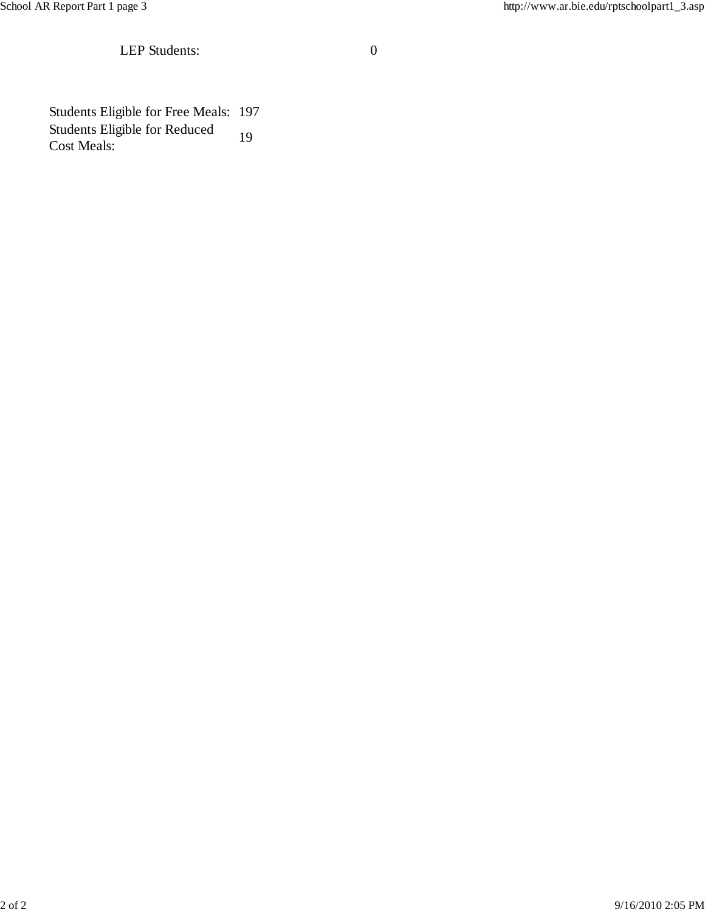School AR Report Part 1 page 3 http://www.ar.bie.edu/rptschoolpart1\_3.asp

LEP Students: 0

Students Eligible for Free Meals: 197 Students Eligible for Reduced Cost Meals: <sup>19</sup>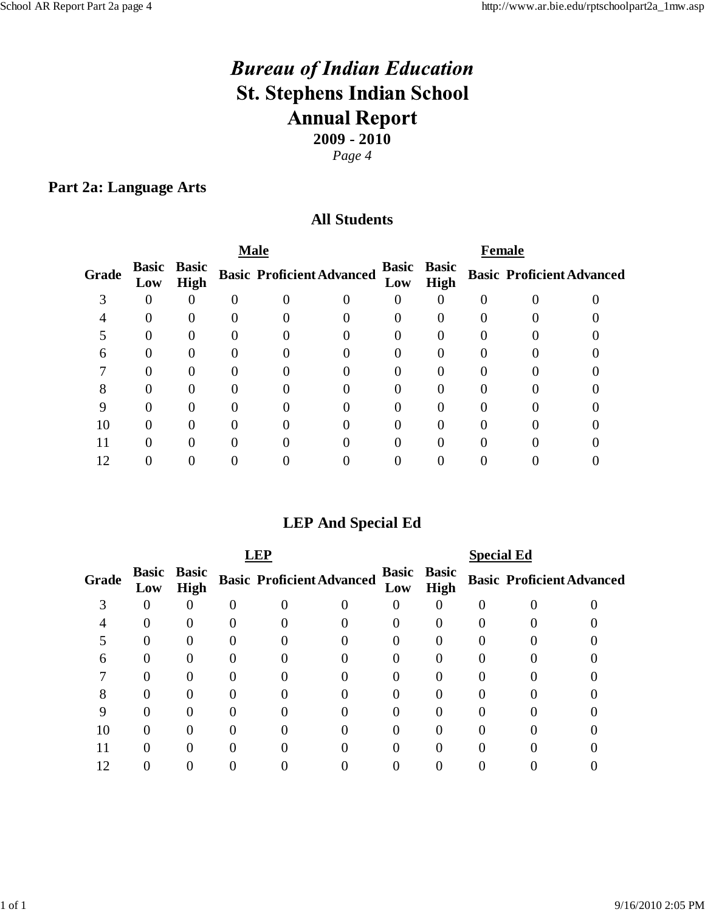*Page 4*

### **Part 2a: Language Arts**

#### **All Students**

|       |     | <b>Male</b>                       |  |                                  |  |     | <b>Female</b>                     |  |                                  |  |
|-------|-----|-----------------------------------|--|----------------------------------|--|-----|-----------------------------------|--|----------------------------------|--|
| Grade | Low | <b>Basic Basic</b><br><b>High</b> |  | <b>Basic Proficient Advanced</b> |  | Low | <b>Basic Basic</b><br><b>High</b> |  | <b>Basic Proficient Advanced</b> |  |
|       |     |                                   |  |                                  |  |     |                                   |  |                                  |  |
|       |     |                                   |  |                                  |  |     |                                   |  |                                  |  |
|       |     |                                   |  |                                  |  |     |                                   |  |                                  |  |
| n     |     |                                   |  |                                  |  |     |                                   |  |                                  |  |
|       |     |                                   |  |                                  |  |     |                                   |  |                                  |  |
|       |     |                                   |  |                                  |  |     |                                   |  |                                  |  |
|       |     |                                   |  |                                  |  |     |                                   |  |                                  |  |
|       |     |                                   |  |                                  |  |     |                                   |  |                                  |  |
|       |     |                                   |  |                                  |  |     |                                   |  |                                  |  |
|       |     |                                   |  |                                  |  |     |                                   |  |                                  |  |
|       |     |                                   |  |                                  |  |     |                                   |  |                                  |  |

# **LEP And Special Ed**

|       |     |                                   | <b>FP</b>                        |  |     | <b>Special Ed</b>                 |  |                                  |
|-------|-----|-----------------------------------|----------------------------------|--|-----|-----------------------------------|--|----------------------------------|
| Grade | Low | <b>Basic Basic</b><br><b>High</b> | <b>Basic Proficient Advanced</b> |  | Low | <b>Basic Basic</b><br><b>High</b> |  | <b>Basic Proficient Advanced</b> |
|       | 0   |                                   |                                  |  |     |                                   |  |                                  |
|       |     |                                   |                                  |  |     |                                   |  |                                  |
|       |     |                                   |                                  |  |     |                                   |  |                                  |
|       |     |                                   |                                  |  |     |                                   |  |                                  |
|       |     |                                   |                                  |  |     |                                   |  |                                  |
|       |     |                                   |                                  |  |     |                                   |  |                                  |
|       |     |                                   |                                  |  |     |                                   |  |                                  |
|       |     |                                   |                                  |  |     |                                   |  |                                  |
|       |     |                                   |                                  |  |     |                                   |  |                                  |
|       |     |                                   |                                  |  |     |                                   |  |                                  |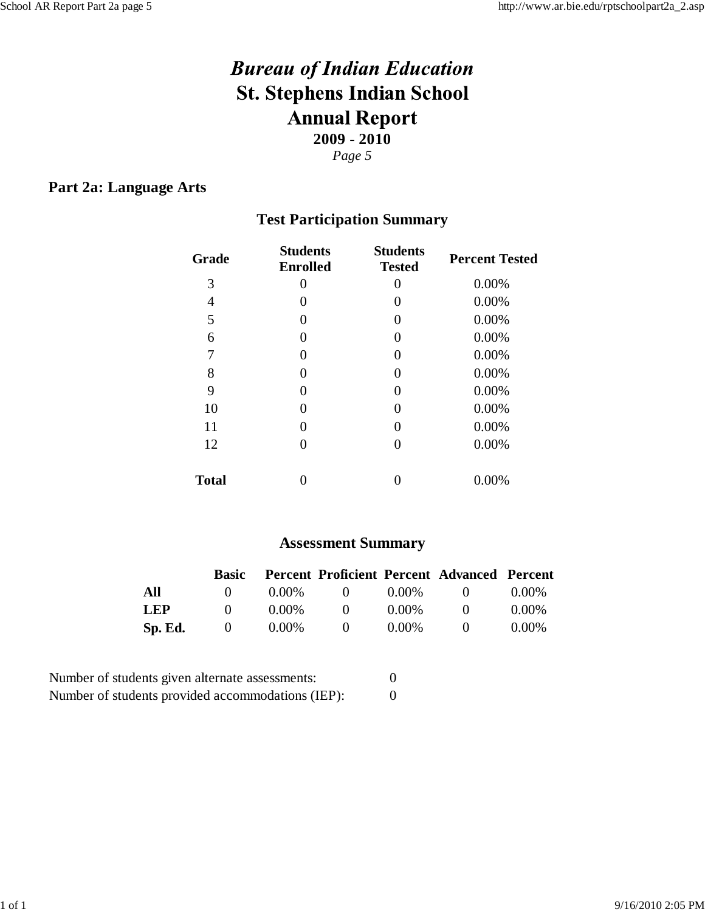#### **Part 2a: Language Arts**

# **Test Participation Summary**

| Grade        | <b>Students</b><br><b>Enrolled</b> | <b>Students</b><br><b>Tested</b> | <b>Percent Tested</b> |
|--------------|------------------------------------|----------------------------------|-----------------------|
| 3            |                                    | $\theta$                         | 0.00%                 |
| 4            | $\mathbf{0}$                       | $\theta$                         | 0.00%                 |
| 5            | $\left( \right)$                   | 0                                | 0.00%                 |
| 6            | $\mathbf{0}$                       | $\left( \right)$                 | 0.00%                 |
| 7            | $\left( \right)$                   | 0                                | 0.00%                 |
| 8            | $\mathbf{0}$                       | $\theta$                         | 0.00%                 |
| 9            | $\left( \right)$                   | 0                                | 0.00%                 |
| 10           |                                    | 0                                | 0.00%                 |
| 11           | $\left( \right)$                   | 0                                | 0.00%                 |
| 12           |                                    | $\left( \right)$                 | 0.00%                 |
| <b>Total</b> |                                    |                                  | 0.00%                 |

#### **Assessment Summary**

|            | <b>Basic</b>     |          |              |          | <b>Percent Proficient Percent Advanced Percent</b> |          |
|------------|------------------|----------|--------------|----------|----------------------------------------------------|----------|
| All        | $\mathbf{O}$     | $0.00\%$ | $\mathbf{0}$ | $0.00\%$ | $\mathbf{U}$                                       | $0.00\%$ |
| <b>LEP</b> | $\mathbf{O}$     | $0.00\%$ | $\mathbf{U}$ | $0.00\%$ | $^{\circ}$                                         | $0.00\%$ |
| Sp. Ed.    | $\left( \right)$ | $0.00\%$ | $\theta$     | $0.00\%$ | $\mathbf{U}$                                       | $0.00\%$ |

| Number of students given alternate assessments:   |  |
|---------------------------------------------------|--|
| Number of students provided accommodations (IEP): |  |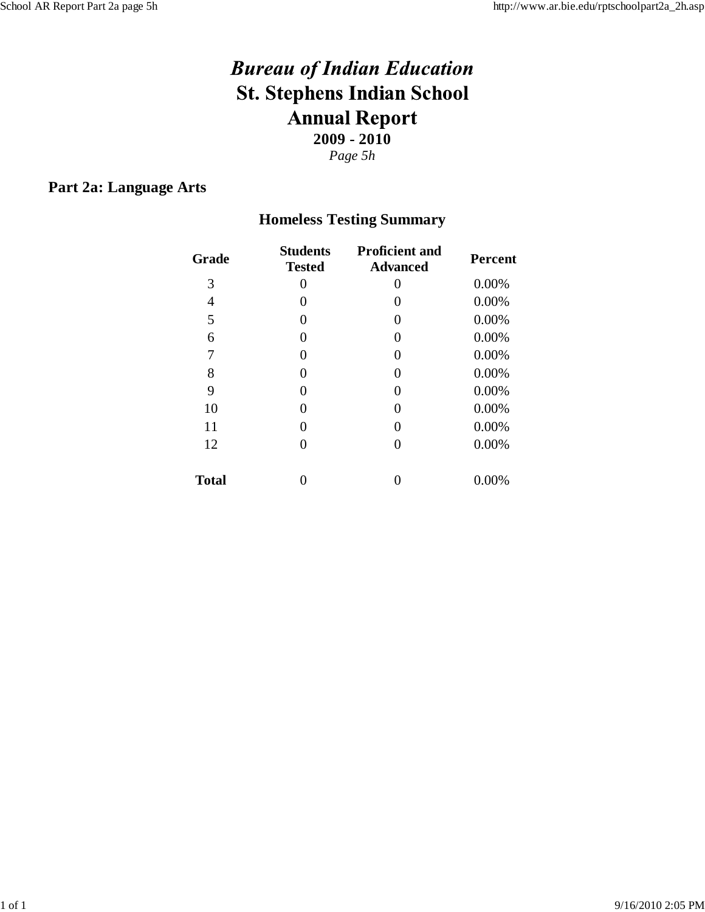#### **Part 2a: Language Arts**

# **Homeless Testing Summary**

| Grade        | <b>Students</b><br><b>Tested</b> | <b>Proficient and</b><br><b>Advanced</b> | <b>Percent</b> |
|--------------|----------------------------------|------------------------------------------|----------------|
| 3            | 0                                | $\mathbf{\Omega}$                        | 0.00%          |
| 4            | 0                                | 0                                        | 0.00%          |
| 5            | 0                                | 0                                        | 0.00%          |
| 6            | 0                                | 0                                        | 0.00%          |
| 7            | 0                                | 0                                        | 0.00%          |
| 8            | 0                                | 0                                        | 0.00%          |
| 9            | 0                                | 0                                        | 0.00%          |
| 10           | 0                                | 0                                        | 0.00%          |
| 11           | 0                                | 0                                        | 0.00%          |
| 12           | 0                                | 0                                        | 0.00%          |
| <b>Total</b> |                                  |                                          | 0.00%          |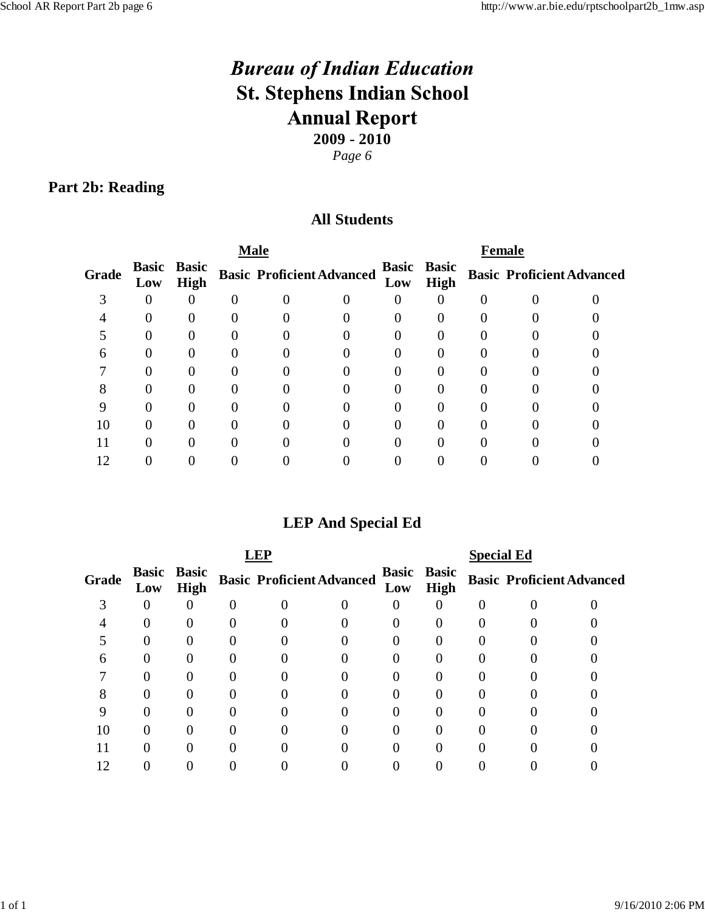# **Part 2b: Reading**

## **All Students**

|       |     |                                   | <b>Male</b>                      |  | <b>Female</b> |                                   |  |  |                                  |  |
|-------|-----|-----------------------------------|----------------------------------|--|---------------|-----------------------------------|--|--|----------------------------------|--|
| Grade | Low | <b>Basic Basic</b><br><b>High</b> | <b>Basic Proficient Advanced</b> |  | Low           | <b>Basic Basic</b><br><b>High</b> |  |  | <b>Basic Proficient Advanced</b> |  |
|       |     |                                   |                                  |  |               |                                   |  |  |                                  |  |
|       |     |                                   |                                  |  |               |                                   |  |  |                                  |  |
|       | 0   |                                   |                                  |  |               |                                   |  |  |                                  |  |
| n     |     |                                   |                                  |  |               |                                   |  |  |                                  |  |
|       |     |                                   |                                  |  |               |                                   |  |  |                                  |  |
|       |     |                                   |                                  |  |               |                                   |  |  |                                  |  |
|       |     |                                   |                                  |  |               |                                   |  |  |                                  |  |
| U     | 0   |                                   |                                  |  |               |                                   |  |  |                                  |  |
|       |     |                                   |                                  |  |               |                                   |  |  |                                  |  |
|       |     |                                   |                                  |  |               |                                   |  |  |                                  |  |

# **LEP And Special Ed**

|       |     |                                   | <b>LEP</b>                       |  |     | <b>Special Ed</b>                 |  |                                  |
|-------|-----|-----------------------------------|----------------------------------|--|-----|-----------------------------------|--|----------------------------------|
| Grade | Low | <b>Basic Basic</b><br><b>High</b> | <b>Basic Proficient Advanced</b> |  | Low | <b>Basic Basic</b><br><b>High</b> |  | <b>Basic Proficient Advanced</b> |
|       | 0   |                                   |                                  |  |     |                                   |  |                                  |
|       |     |                                   |                                  |  |     |                                   |  |                                  |
|       |     |                                   |                                  |  |     |                                   |  |                                  |
|       |     |                                   |                                  |  |     |                                   |  |                                  |
|       |     |                                   |                                  |  |     |                                   |  |                                  |
|       |     |                                   |                                  |  |     |                                   |  |                                  |
|       |     |                                   |                                  |  |     |                                   |  |                                  |
| 10    |     |                                   |                                  |  |     |                                   |  |                                  |
|       |     |                                   |                                  |  |     |                                   |  |                                  |
|       |     |                                   |                                  |  |     |                                   |  |                                  |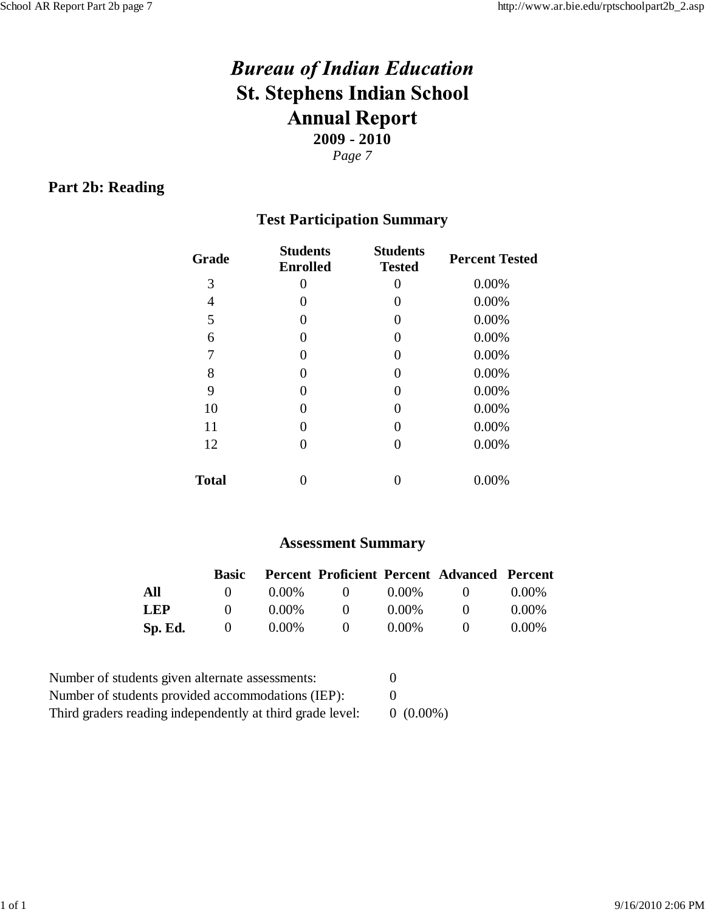### **Part 2b: Reading**

# **Test Participation Summary**

| Grade        | <b>Students</b><br><b>Enrolled</b> | <b>Students</b><br><b>Tested</b> | <b>Percent Tested</b> |
|--------------|------------------------------------|----------------------------------|-----------------------|
| 3            | $\mathbf{\Omega}$                  | 0                                | 0.00%                 |
| 4            |                                    | 0                                | 0.00%                 |
| 5            | $\left( \right)$                   | $\theta$                         | 0.00%                 |
| 6            |                                    | 0                                | 0.00%                 |
| 7            | $\mathbf{\Omega}$                  | $\theta$                         | 0.00%                 |
| 8            |                                    |                                  | 0.00%                 |
| 9            | $\mathbf{0}$                       | 0                                | 0.00%                 |
| 10           |                                    |                                  | 0.00%                 |
| 11           | $\mathbf{0}$                       |                                  | 0.00%                 |
| 12           |                                    |                                  | 0.00%                 |
| <b>Total</b> |                                    |                                  | 0.00%                 |

#### **Assessment Summary**

|            | <b>Basic</b> |          |              |          | <b>Percent Proficient Percent Advanced Percent</b> |          |
|------------|--------------|----------|--------------|----------|----------------------------------------------------|----------|
| All        | $\mathbf{U}$ | $0.00\%$ | $\sqrt{1}$   | $0.00\%$ | $\mathbf{U}$                                       | $0.00\%$ |
| <b>LEP</b> | $\mathbf{U}$ | $0.00\%$ | $\mathbf{O}$ | $0.00\%$ | $^{\circ}$                                         | $0.00\%$ |
| Sp. Ed.    | $\mathbf{O}$ | $0.00\%$ | $\mathbf{U}$ | $0.00\%$ | $\mathbf{U}$                                       | $0.00\%$ |

| Number of students given alternate assessments:           |             |
|-----------------------------------------------------------|-------------|
| Number of students provided accommodations (IEP):         |             |
| Third graders reading independently at third grade level: | $0(0.00\%)$ |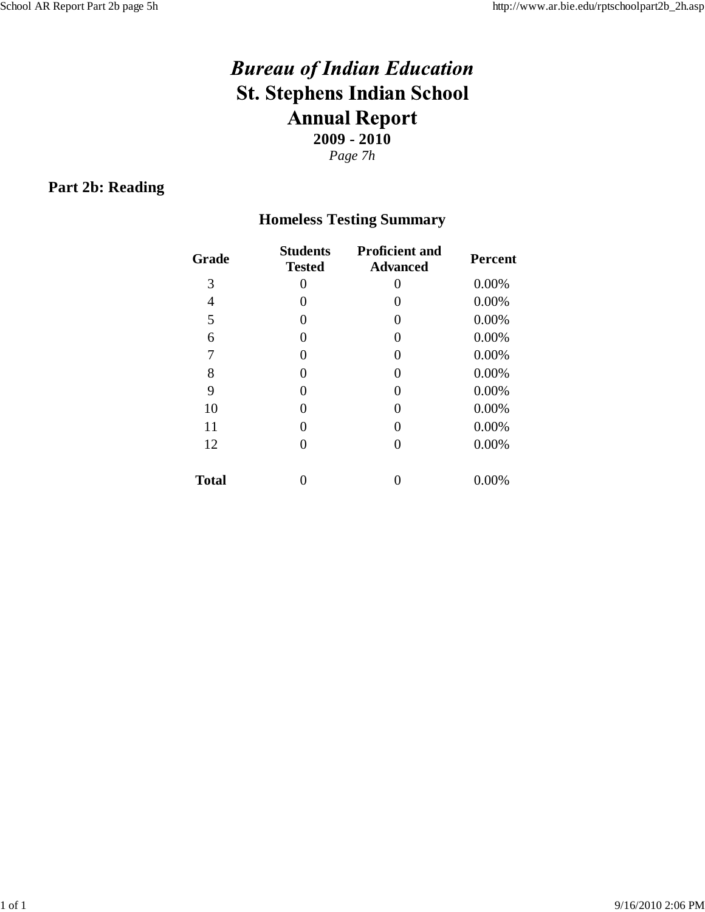#### **Part 2b: Reading**

# **Homeless Testing Summary**

| Grade        | <b>Students</b><br><b>Tested</b> | <b>Proficient and</b><br><b>Advanced</b> | <b>Percent</b> |
|--------------|----------------------------------|------------------------------------------|----------------|
| 3            | 0                                | 0                                        | 0.00%          |
| 4            | $\mathbf{\Omega}$                | 0                                        | 0.00%          |
| 5            | 0                                | 0                                        | 0.00%          |
| 6            | 0                                | 0                                        | 0.00%          |
| 7            | 0                                | 0                                        | 0.00%          |
| 8            | 0                                | 0                                        | 0.00%          |
| 9            | 0                                | 0                                        | 0.00%          |
| 10           | 0                                | 0                                        | 0.00%          |
| 11           | 0                                | 0                                        | 0.00%          |
| 12           | 0                                | 0                                        | 0.00%          |
| <b>Total</b> |                                  |                                          | 0.00%          |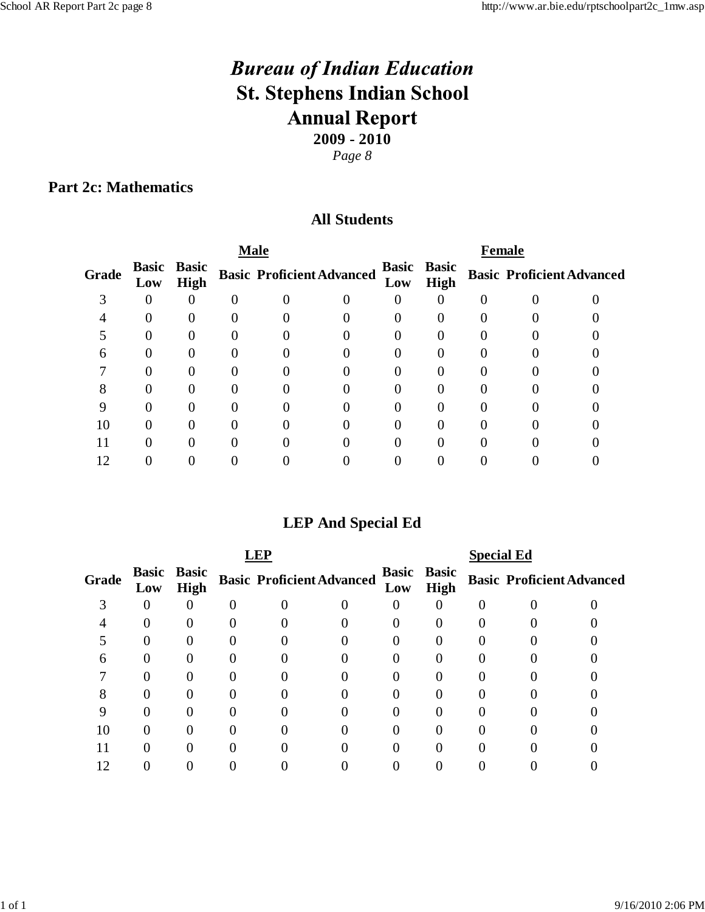## **Part 2c: Mathematics**

#### **All Students**

|     |             |                    | <b>Male</b> | <b>Female</b> |                                  |      |                    |  |                                  |
|-----|-------------|--------------------|-------------|---------------|----------------------------------|------|--------------------|--|----------------------------------|
| Low | <b>High</b> |                    |             |               | Low                              | High |                    |  |                                  |
|     |             |                    |             |               |                                  |      |                    |  |                                  |
|     |             |                    |             |               |                                  |      |                    |  |                                  |
|     |             |                    |             |               |                                  |      |                    |  |                                  |
|     |             |                    |             |               |                                  |      |                    |  |                                  |
|     |             |                    |             |               |                                  |      |                    |  |                                  |
|     |             |                    |             |               |                                  |      |                    |  |                                  |
|     |             |                    |             |               |                                  |      |                    |  |                                  |
|     |             |                    |             |               |                                  |      |                    |  |                                  |
|     |             |                    |             |               |                                  |      |                    |  |                                  |
|     |             |                    |             |               |                                  |      |                    |  |                                  |
|     |             | <b>Basic Basic</b> |             |               | <b>Basic Proficient Advanced</b> |      | <b>Basic Basic</b> |  | <b>Basic Proficient Advanced</b> |

# **LEP And Special Ed**

| <b>EP</b> |     |                                   |  |                                  |  |     |                            | <b>Special Ed</b> |  |                                  |  |  |
|-----------|-----|-----------------------------------|--|----------------------------------|--|-----|----------------------------|-------------------|--|----------------------------------|--|--|
| Grade     | Low | <b>Basic Basic</b><br><b>High</b> |  | <b>Basic Proficient Advanced</b> |  | Low | <b>Basic Basic</b><br>High |                   |  | <b>Basic Proficient Advanced</b> |  |  |
|           |     | 0                                 |  |                                  |  |     |                            |                   |  |                                  |  |  |
|           |     |                                   |  |                                  |  |     |                            |                   |  |                                  |  |  |
|           |     |                                   |  |                                  |  |     |                            |                   |  |                                  |  |  |
|           |     |                                   |  |                                  |  |     |                            |                   |  |                                  |  |  |
|           |     |                                   |  |                                  |  |     |                            |                   |  |                                  |  |  |
|           |     |                                   |  |                                  |  |     |                            |                   |  |                                  |  |  |
|           |     |                                   |  |                                  |  |     |                            |                   |  |                                  |  |  |
| 10        |     |                                   |  |                                  |  |     |                            |                   |  |                                  |  |  |
|           |     |                                   |  |                                  |  |     |                            |                   |  |                                  |  |  |
| Ω         |     |                                   |  |                                  |  |     |                            |                   |  |                                  |  |  |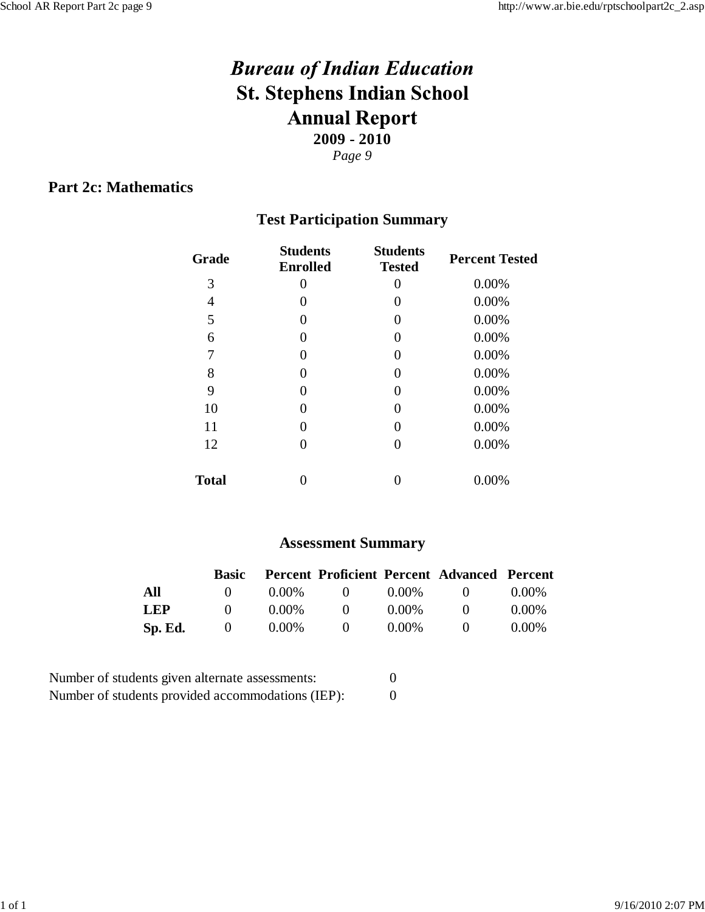## **Part 2c: Mathematics**

# **Test Participation Summary**

| Grade        | <b>Students</b><br><b>Enrolled</b> | <b>Students</b><br><b>Tested</b> | <b>Percent Tested</b> |  |
|--------------|------------------------------------|----------------------------------|-----------------------|--|
| 3            | 0                                  | $\theta$                         | 0.00%                 |  |
| 4            |                                    | $\theta$                         | 0.00%                 |  |
| 5            | $\left( \right)$                   | 0                                | 0.00%                 |  |
| 6            | $\left( \right)$                   | $\theta$                         | 0.00%                 |  |
| 7            | 0                                  | 0                                | 0.00%                 |  |
| 8            |                                    | $\theta$                         | 0.00%                 |  |
| 9            |                                    | 0                                | 0.00%                 |  |
| 10           |                                    | 0                                | 0.00%                 |  |
| 11           |                                    | 0                                | 0.00%                 |  |
| 12           |                                    | $\theta$                         | 0.00%                 |  |
| <b>Total</b> |                                    |                                  | 0.00%                 |  |

#### **Assessment Summary**

|            | Basic        |          |              |          | Percent Proficient Percent Advanced Percent |          |
|------------|--------------|----------|--------------|----------|---------------------------------------------|----------|
| All        |              | $0.00\%$ | $\mathbf{U}$ | $0.00\%$ | $\mathbf{U}$                                | $0.00\%$ |
| <b>LEP</b> | $\mathbf{U}$ | $0.00\%$ | $\mathbf{U}$ | $0.00\%$ | $^{\circ}$                                  | $0.00\%$ |
| Sp. Ed.    | $\mathbf{U}$ | $0.00\%$ | $\mathbf{U}$ | $0.00\%$ | $^{\circ}$                                  | $0.00\%$ |

| Number of students given alternate assessments:   |  |
|---------------------------------------------------|--|
| Number of students provided accommodations (IEP): |  |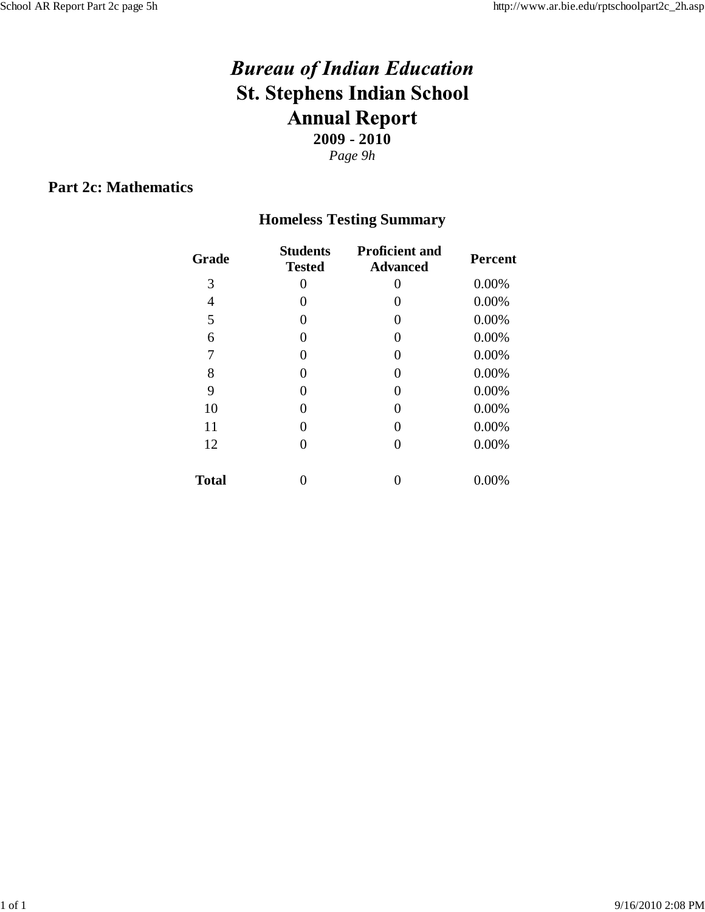## **Part 2c: Mathematics**

# **Homeless Testing Summary**

| Grade        | <b>Students</b><br><b>Tested</b> | <b>Proficient and</b><br><b>Advanced</b> | <b>Percent</b> |
|--------------|----------------------------------|------------------------------------------|----------------|
| 3            | 0                                | 0                                        | 0.00%          |
| 4            | 0                                | 0                                        | 0.00%          |
| 5            | 0                                | 0                                        | 0.00%          |
| 6            | 0                                | 0                                        | 0.00%          |
| 7            | 0                                | 0                                        | 0.00%          |
| 8            | 0                                | 0                                        | 0.00%          |
| 9            | 0                                | 0                                        | 0.00%          |
| 10           | 0                                | 0                                        | 0.00%          |
| 11           | 0                                | 0                                        | 0.00%          |
| 12           | 0                                | 0                                        | 0.00%          |
| <b>Total</b> |                                  |                                          | 0.00%          |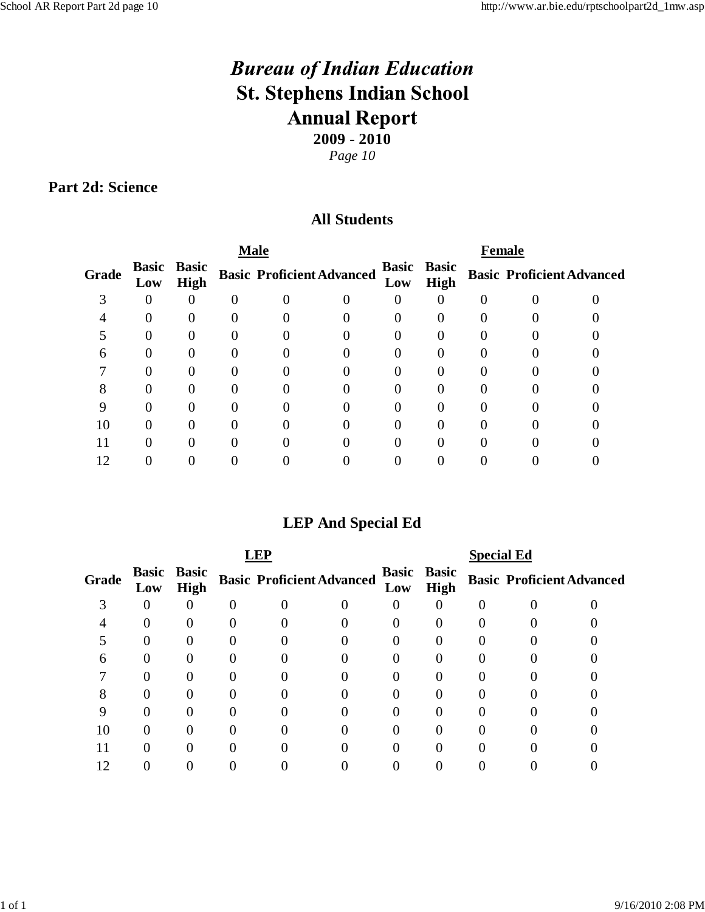### **Part 2d: Science**

## **All Students**

|     |             |                    |  | <b>Female</b> |                                  |             |                    |  |                                  |
|-----|-------------|--------------------|--|---------------|----------------------------------|-------------|--------------------|--|----------------------------------|
| Low | <b>High</b> |                    |  |               | Low                              | <b>High</b> |                    |  |                                  |
|     |             |                    |  |               |                                  |             |                    |  |                                  |
|     |             |                    |  |               |                                  |             |                    |  |                                  |
|     |             |                    |  |               |                                  |             |                    |  |                                  |
|     |             |                    |  |               |                                  |             |                    |  |                                  |
|     |             |                    |  |               |                                  |             |                    |  |                                  |
|     |             |                    |  |               |                                  |             |                    |  |                                  |
|     |             |                    |  |               |                                  |             |                    |  |                                  |
|     |             |                    |  |               |                                  |             |                    |  |                                  |
|     |             |                    |  |               |                                  |             |                    |  |                                  |
|     |             |                    |  |               |                                  |             |                    |  |                                  |
|     |             | <b>Basic Basic</b> |  | <b>Male</b>   | <b>Basic Proficient Advanced</b> |             | <b>Basic Basic</b> |  | <b>Basic Proficient Advanced</b> |

# **LEP And Special Ed**

| <b>FP</b> |     |                                   |  |                                  |  |     |                                   | <b>Special Ed</b> |  |                                  |  |  |
|-----------|-----|-----------------------------------|--|----------------------------------|--|-----|-----------------------------------|-------------------|--|----------------------------------|--|--|
| Grade     | Low | <b>Basic Basic</b><br><b>High</b> |  | <b>Basic Proficient Advanced</b> |  | Low | <b>Basic Basic</b><br><b>High</b> |                   |  | <b>Basic Proficient Advanced</b> |  |  |
|           | 0   |                                   |  |                                  |  |     |                                   |                   |  |                                  |  |  |
|           |     |                                   |  |                                  |  |     |                                   |                   |  |                                  |  |  |
|           |     |                                   |  |                                  |  |     |                                   |                   |  |                                  |  |  |
|           |     |                                   |  |                                  |  |     |                                   |                   |  |                                  |  |  |
|           |     |                                   |  |                                  |  |     |                                   |                   |  |                                  |  |  |
|           |     |                                   |  |                                  |  |     |                                   |                   |  |                                  |  |  |
|           |     |                                   |  |                                  |  |     |                                   |                   |  |                                  |  |  |
|           |     |                                   |  |                                  |  |     |                                   |                   |  |                                  |  |  |
|           |     |                                   |  |                                  |  |     |                                   |                   |  |                                  |  |  |
|           |     |                                   |  |                                  |  |     |                                   |                   |  |                                  |  |  |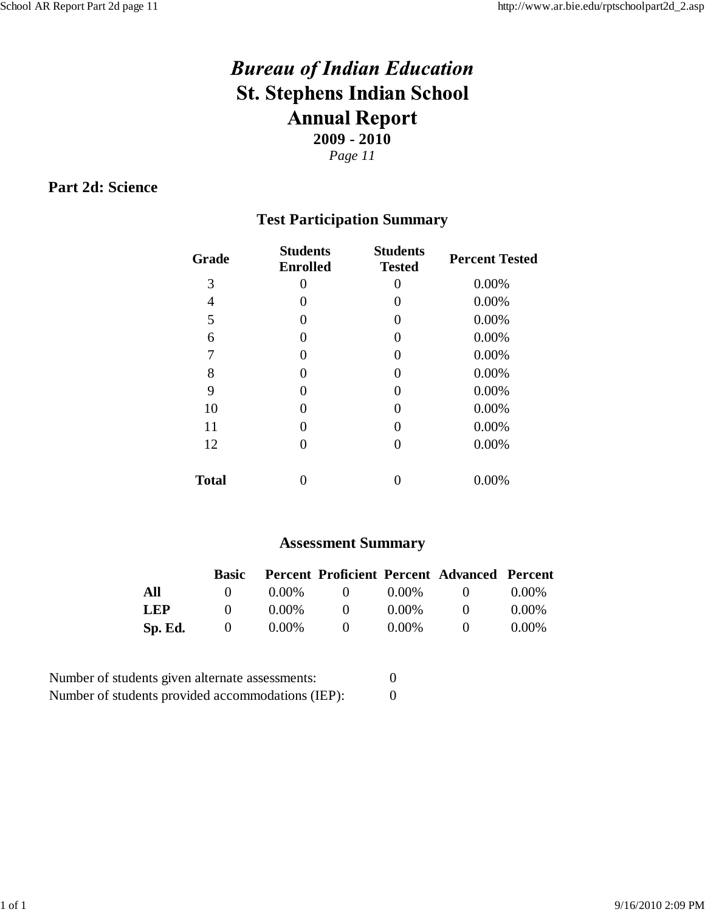## **Part 2d: Science**

# **Test Participation Summary**

| Grade        | <b>Students</b><br><b>Enrolled</b> | <b>Students</b><br><b>Tested</b> | <b>Percent Tested</b> |  |
|--------------|------------------------------------|----------------------------------|-----------------------|--|
| 3            | 0                                  | $\theta$                         | 0.00%                 |  |
| 4            |                                    | $\theta$                         | 0.00%                 |  |
| 5            | $\left( \right)$                   | 0                                | 0.00%                 |  |
| 6            | $\left( \right)$                   | $\theta$                         | 0.00%                 |  |
| 7            | 0                                  | 0                                | 0.00%                 |  |
| 8            |                                    | $\theta$                         | 0.00%                 |  |
| 9            |                                    | 0                                | 0.00%                 |  |
| 10           |                                    | 0                                | 0.00%                 |  |
| 11           |                                    | 0                                | 0.00%                 |  |
| 12           |                                    | $\theta$                         | 0.00%                 |  |
| <b>Total</b> |                                    |                                  | 0.00%                 |  |

#### **Assessment Summary**

|            | Basic        |          |              |          | Percent Proficient Percent Advanced Percent |          |
|------------|--------------|----------|--------------|----------|---------------------------------------------|----------|
| All        |              | $0.00\%$ | $\mathbf{U}$ | $0.00\%$ | $\mathbf{U}$                                | $0.00\%$ |
| <b>LEP</b> | $\mathbf{U}$ | $0.00\%$ | $\mathbf{U}$ | $0.00\%$ | $^{\circ}$                                  | $0.00\%$ |
| Sp. Ed.    | $\mathbf{U}$ | $0.00\%$ | $\mathbf{U}$ | $0.00\%$ | $^{\circ}$                                  | $0.00\%$ |

| Number of students given alternate assessments:   |  |
|---------------------------------------------------|--|
| Number of students provided accommodations (IEP): |  |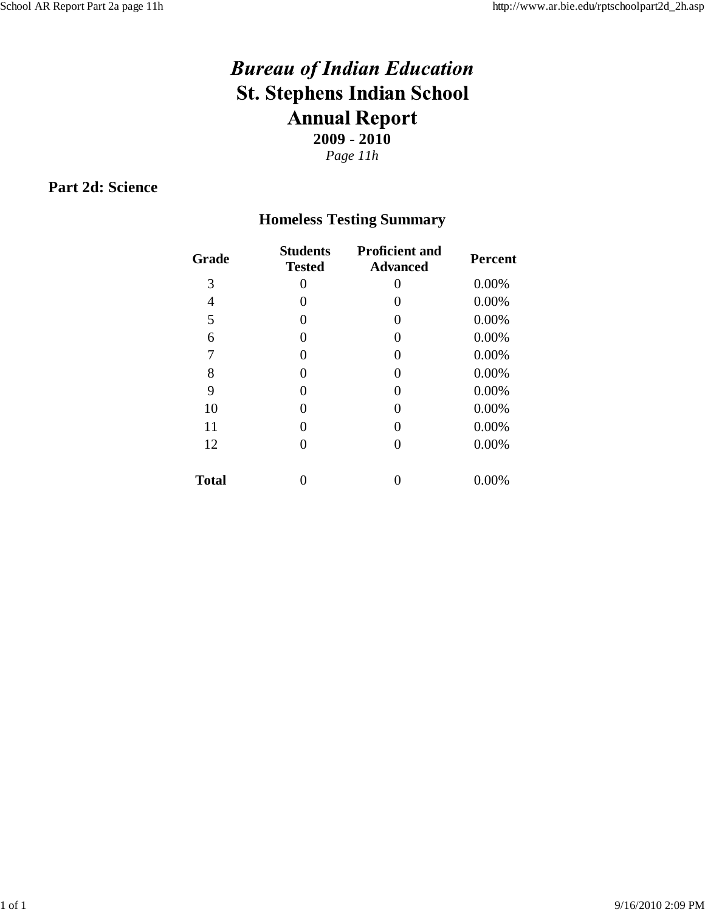## **Part 2d: Science**

# **Homeless Testing Summary**

| Grade        | <b>Students</b><br><b>Tested</b> | <b>Proficient and</b><br><b>Advanced</b> | <b>Percent</b> |
|--------------|----------------------------------|------------------------------------------|----------------|
| 3            | 0                                | 0                                        | 0.00%          |
| 4            | 0                                | 0                                        | 0.00%          |
| 5            | 0                                | 0                                        | 0.00%          |
| 6            | 0                                | 0                                        | 0.00%          |
| 7            | 0                                | 0                                        | 0.00%          |
| 8            | 0                                | 0                                        | 0.00%          |
| 9            | 0                                | 0                                        | 0.00%          |
| 10           | 0                                | 0                                        | 0.00%          |
| 11           | 0                                | 0                                        | 0.00%          |
| 12           | 0                                | 0                                        | 0.00%          |
| <b>Total</b> |                                  |                                          | 0.00%          |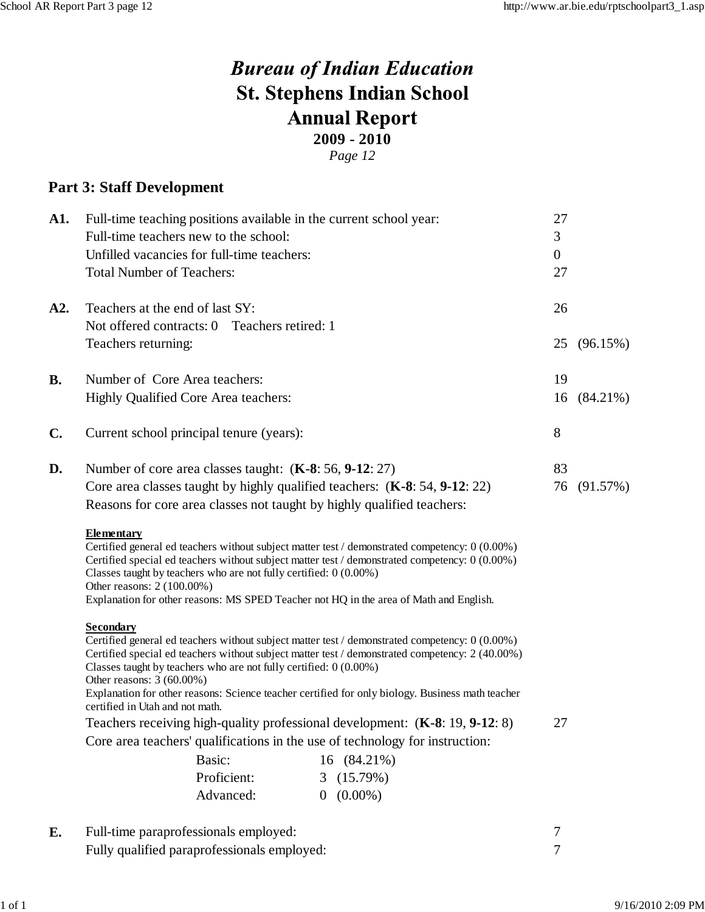*Page 12*

#### **Part 3: Staff Development**

| A1.            | Full-time teaching positions available in the current school year:                                                                                      |             |                                                                                                                                                                                                                                                                                                       | 27             |             |
|----------------|---------------------------------------------------------------------------------------------------------------------------------------------------------|-------------|-------------------------------------------------------------------------------------------------------------------------------------------------------------------------------------------------------------------------------------------------------------------------------------------------------|----------------|-------------|
|                | Full-time teachers new to the school:                                                                                                                   |             |                                                                                                                                                                                                                                                                                                       | 3              |             |
|                | Unfilled vacancies for full-time teachers:                                                                                                              |             |                                                                                                                                                                                                                                                                                                       | $\overline{0}$ |             |
|                | <b>Total Number of Teachers:</b>                                                                                                                        |             |                                                                                                                                                                                                                                                                                                       | 27             |             |
| A2.            | Teachers at the end of last SY:                                                                                                                         |             |                                                                                                                                                                                                                                                                                                       | 26             |             |
|                | Not offered contracts: 0 Teachers retired: 1                                                                                                            |             |                                                                                                                                                                                                                                                                                                       |                |             |
|                | Teachers returning:                                                                                                                                     |             |                                                                                                                                                                                                                                                                                                       |                | 25 (96.15%) |
| <b>B.</b>      | Number of Core Area teachers:                                                                                                                           |             |                                                                                                                                                                                                                                                                                                       | 19             |             |
|                | Highly Qualified Core Area teachers:                                                                                                                    |             |                                                                                                                                                                                                                                                                                                       |                | 16 (84.21%) |
| $\mathbf{C}$ . | Current school principal tenure (years):                                                                                                                |             |                                                                                                                                                                                                                                                                                                       | 8              |             |
| D.             | Number of core area classes taught: (K-8: 56, 9-12: 27)                                                                                                 |             |                                                                                                                                                                                                                                                                                                       | 83             |             |
|                |                                                                                                                                                         |             | Core area classes taught by highly qualified teachers: (K-8: 54, 9-12: 22)                                                                                                                                                                                                                            | 76             | (91.57%)    |
|                |                                                                                                                                                         |             | Reasons for core area classes not taught by highly qualified teachers:                                                                                                                                                                                                                                |                |             |
|                | <b>Elementary</b><br>Classes taught by teachers who are not fully certified: $0(0.00\%)$<br>Other reasons: 2 (100.00%)                                  |             | Certified general ed teachers without subject matter test / demonstrated competency: 0 (0.00%)<br>Certified special ed teachers without subject matter test / demonstrated competency: 0 (0.00%)<br>Explanation for other reasons: MS SPED Teacher not HQ in the area of Math and English.            |                |             |
|                | <b>Secondary</b><br>Classes taught by teachers who are not fully certified: $0(0.00\%)$<br>Other reasons: 3 (60.00%)<br>certified in Utah and not math. |             | Certified general ed teachers without subject matter test / demonstrated competency: 0 (0.00%)<br>Certified special ed teachers without subject matter test / demonstrated competency: 2 (40.00%)<br>Explanation for other reasons: Science teacher certified for only biology. Business math teacher |                |             |
|                |                                                                                                                                                         |             | Teachers receiving high-quality professional development: (K-8: 19, 9-12: 8)                                                                                                                                                                                                                          | 27             |             |
|                |                                                                                                                                                         |             | Core area teachers' qualifications in the use of technology for instruction:                                                                                                                                                                                                                          |                |             |
|                |                                                                                                                                                         | Basic:      | 16 (84.21%)                                                                                                                                                                                                                                                                                           |                |             |
|                |                                                                                                                                                         |             |                                                                                                                                                                                                                                                                                                       |                |             |
|                |                                                                                                                                                         | Proficient: | 3(15.79%)                                                                                                                                                                                                                                                                                             |                |             |

**E.** Full-time paraprofessionals employed: 7<br>Fully qualified paraprofessionals employed: 7 Fully qualified paraprofessionals employed: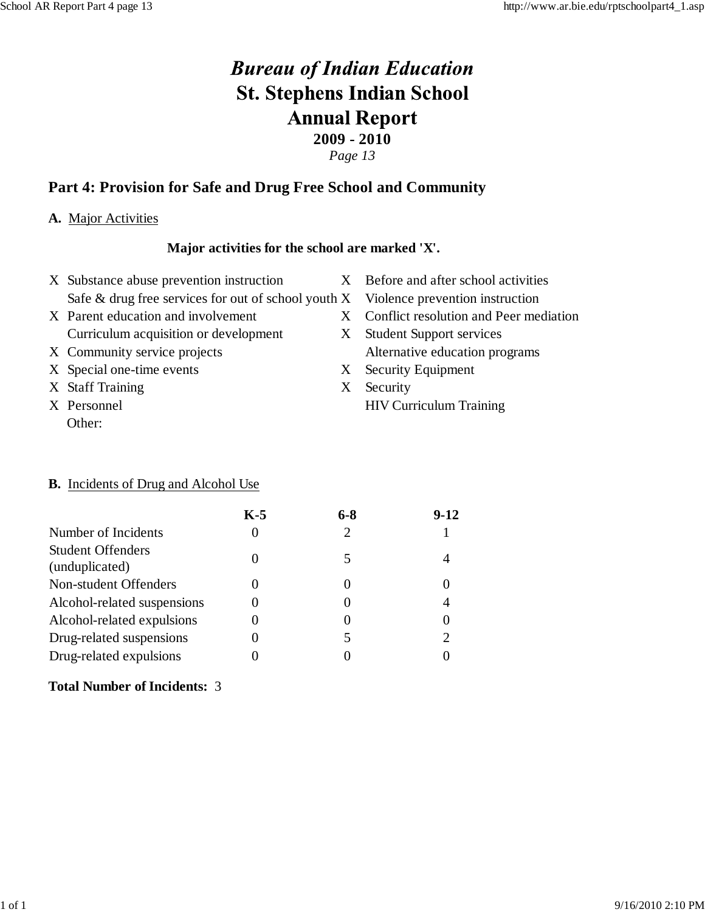*Page 13*

## **Part 4: Provision for Safe and Drug Free School and Community**

#### **A.** Major Activities

#### **Major activities for the school are marked 'X'.**

- X Substance abuse prevention instruction X Before and after school activities Safe  $&$  drug free services for out of school youth  $X$  Violence prevention instruction
- Curriculum acquisition or development X Student Support services
- 
- X Special one-time events X Security Equipment
- X Staff Training X Security
- Other:
- 
- 
- X Parent education and involvement X Conflict resolution and Peer mediation
- X Community service projects Alternative education programs
	-
- X Personnel HIV Curriculum Training

#### **B.** Incidents of Drug and Alcohol Use

|                                            | $K-5$ | 6-8 | $9-12$ |
|--------------------------------------------|-------|-----|--------|
| Number of Incidents                        |       |     |        |
| <b>Student Offenders</b><br>(unduplicated) |       |     |        |
| Non-student Offenders                      |       |     |        |
| Alcohol-related suspensions                |       |     |        |
| Alcohol-related expulsions                 |       |     |        |
| Drug-related suspensions                   |       |     | 2      |
| Drug-related expulsions                    |       |     |        |

#### **Total Number of Incidents:** 3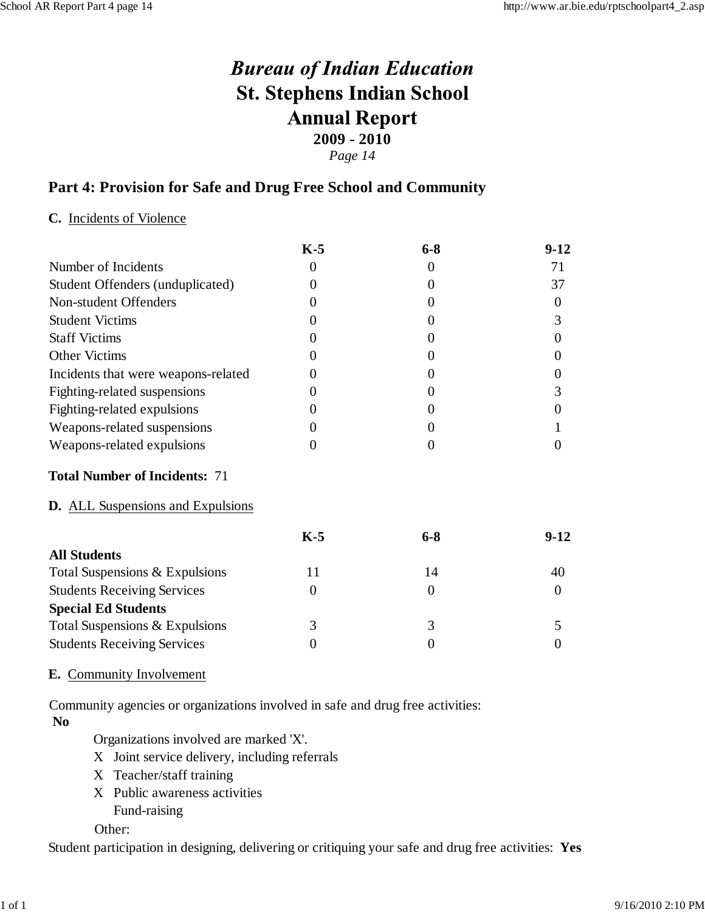*Page 14*

### **Part 4: Provision for Safe and Drug Free School and Community**

#### **C.** Incidents of Violence

|                                          | $K-5$             | $6 - 8$        | $9-12$         |
|------------------------------------------|-------------------|----------------|----------------|
| Number of Incidents                      | 0                 | $\theta$       | 71             |
| Student Offenders (unduplicated)         | 0                 | $\theta$       | 37             |
| Non-student Offenders                    | 0                 | $\theta$       | $\overline{0}$ |
| <b>Student Victims</b>                   | 0                 | $\theta$       | 3              |
| <b>Staff Victims</b>                     | 0                 | $\theta$       | $\overline{0}$ |
| <b>Other Victims</b>                     | $\mathbf{\Omega}$ | $\theta$       | 0              |
| Incidents that were weapons-related      | $\mathbf{\Omega}$ | $\overline{0}$ | $\theta$       |
| Fighting-related suspensions             | $\theta$          | $\theta$       | 3              |
| Fighting-related expulsions              | 0                 | $\overline{0}$ | $\theta$       |
| Weapons-related suspensions              | $\theta$          | $\theta$       |                |
| Weapons-related expulsions               | $\theta$          | $\overline{0}$ | $\theta$       |
| <b>Total Number of Incidents: 71</b>     |                   |                |                |
| <b>D.</b> ALL Suspensions and Expulsions |                   |                |                |
|                                          | $K-5$             | $6 - 8$        | $9-12$         |
| <b>All Students</b>                      |                   |                |                |
| Total Suspensions & Expulsions           | 11                | 14             | 40             |
| <b>Students Receiving Services</b>       | $\overline{0}$    | $\mathbf{0}$   | $\overline{0}$ |
| <b>Special Ed Students</b>               |                   |                |                |
| Total Suspensions & Expulsions           | 3                 | 3              | 5              |
| <b>Students Receiving Services</b>       | $\theta$          | $\overline{0}$ | $\Omega$       |
|                                          |                   |                |                |

#### **E.** Community Involvement

Community agencies or organizations involved in safe and drug free activities: **No**

Organizations involved are marked 'X'.

- X Joint service delivery, including referrals
- X Teacher/staff training
- X Public awareness activities Fund-raising

Other:

Student participation in designing, delivering or critiquing your safe and drug free activities: **Yes**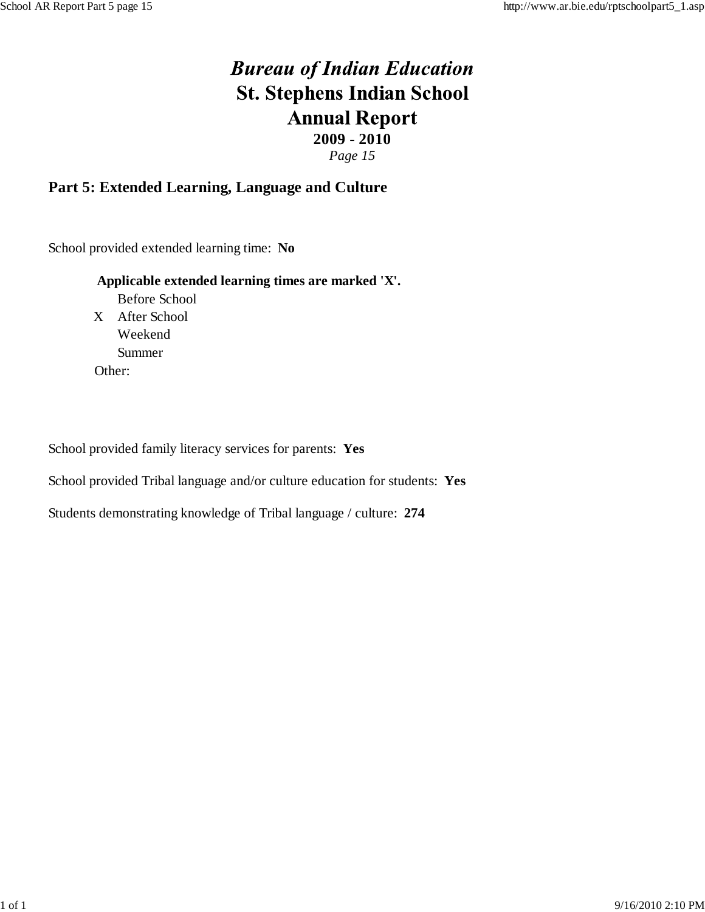*Page 15*

### **Part 5: Extended Learning, Language and Culture**

School provided extended learning time: **No**

#### **Applicable extended learning times are marked 'X'.**

Before School X After School Weekend Summer Other:

School provided family literacy services for parents: **Yes**

School provided Tribal language and/or culture education for students: **Yes**

Students demonstrating knowledge of Tribal language / culture: **274**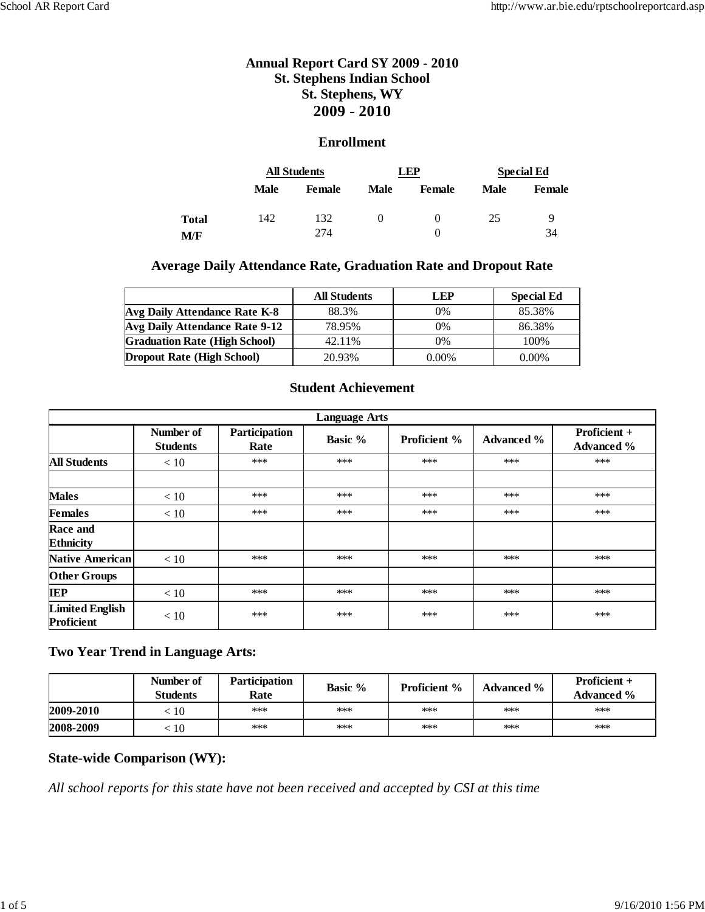#### **Enrollment**

|              |      | <b>All Students</b> |          | LEP                | <b>Special Ed</b> |         |
|--------------|------|---------------------|----------|--------------------|-------------------|---------|
|              | Male | <b>Female</b>       | Male     | <b>Female</b>      | Male              | Female  |
| Total<br>M/F | 142  | 132<br>274          | $\theta$ | $^{(1)}$<br>$_{0}$ | 25                | 9<br>34 |

#### **Average Daily Attendance Rate, Graduation Rate and Dropout Rate**

|                                      | <b>All Students</b> | LEP      | <b>Special Ed</b> |
|--------------------------------------|---------------------|----------|-------------------|
| Avg Daily Attendance Rate K-8        | 88.3%               | $0\%$    | 85.38%            |
| Avg Daily Attendance Rate 9-12       | 78.95%              | $0\%$    | 86.38%            |
| <b>Graduation Rate (High School)</b> | 42.11%              | $0\%$    | 100%              |
| <b>Dropout Rate (High School)</b>    | 20.93%              | $0.00\%$ | $0.00\%$          |

#### **Student Achievement**

|                                      | <b>Language Arts</b>         |                       |         |                     |                   |                                   |  |  |  |  |  |
|--------------------------------------|------------------------------|-----------------------|---------|---------------------|-------------------|-----------------------------------|--|--|--|--|--|
|                                      | Number of<br><b>Students</b> | Participation<br>Rate | Basic % | <b>Proficient %</b> | <b>Advanced %</b> | Proficient +<br><b>Advanced</b> % |  |  |  |  |  |
| <b>All Students</b>                  | < 10                         | $***$                 | ***     | ***                 | ***               | ***                               |  |  |  |  |  |
|                                      |                              |                       |         |                     |                   |                                   |  |  |  |  |  |
| <b>Males</b>                         | < 10                         | ***                   | ***     | ***                 | ***               | ***                               |  |  |  |  |  |
| <b>Females</b>                       | $<10$                        | ***                   | ***     | ***                 | ***               | ***                               |  |  |  |  |  |
| Race and<br><b>Ethnicity</b>         |                              |                       |         |                     |                   |                                   |  |  |  |  |  |
| <b>Native American</b>               | < 10                         | ***                   | ***     | ***                 | ***               | ***                               |  |  |  |  |  |
| <b>Other Groups</b>                  |                              |                       |         |                     |                   |                                   |  |  |  |  |  |
| <b>IEP</b>                           | < 10                         | ***                   | ***     | ***                 | ***               | ***                               |  |  |  |  |  |
| <b>Limited English</b><br>Proficient | < 10                         | ***                   | ***     | ***                 | ***               | ***                               |  |  |  |  |  |

#### **Two Year Trend in Language Arts:**

|           | Number of<br><b>Students</b> | <b>Participation</b><br>Rate | <b>Basic</b> % | <b>Proficient</b> % | <b>Advanced</b> % | <b>Proficient +</b><br><b>Advanced</b> % |
|-----------|------------------------------|------------------------------|----------------|---------------------|-------------------|------------------------------------------|
| 2009-2010 | :10                          | ***                          | ***            | ***                 | ***               | ***                                      |
| 2008-2009 | .10                          | ***                          | ***            | ***                 | ***               | ***                                      |

#### **State-wide Comparison (WY):**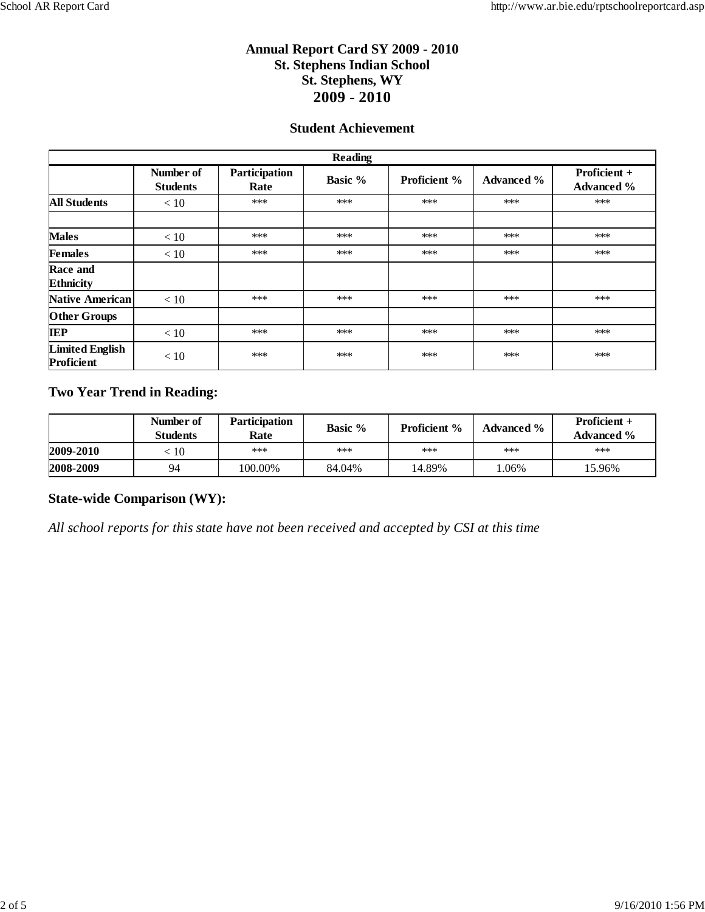#### **Student Achievement**

|                                      | <b>Reading</b>               |                       |                |                     |                   |                                   |  |  |  |  |  |
|--------------------------------------|------------------------------|-----------------------|----------------|---------------------|-------------------|-----------------------------------|--|--|--|--|--|
|                                      | Number of<br><b>Students</b> | Participation<br>Rate | <b>Basic %</b> | <b>Proficient %</b> | <b>Advanced %</b> | Proficient +<br><b>Advanced %</b> |  |  |  |  |  |
| <b>All Students</b>                  | < 10                         | ***                   | ***            | ***                 | ***               | ***                               |  |  |  |  |  |
|                                      |                              |                       |                |                     |                   |                                   |  |  |  |  |  |
| <b>Males</b>                         | < 10                         | ***                   | ***            | ***                 | ***               | ***                               |  |  |  |  |  |
| <b>Females</b>                       | < 10                         | ***                   | ***            | ***                 | ***               | ***                               |  |  |  |  |  |
| Race and<br><b>Ethnicity</b>         |                              |                       |                |                     |                   |                                   |  |  |  |  |  |
| <b>Native American</b>               | < 10                         | ***                   | ***            | ***                 | ***               | ***                               |  |  |  |  |  |
| <b>Other Groups</b>                  |                              |                       |                |                     |                   |                                   |  |  |  |  |  |
| <b>IEP</b>                           | < 10                         | ***                   | ***            | ***                 | $***$             | ***                               |  |  |  |  |  |
| <b>Limited English</b><br>Proficient | < 10                         | ***                   | ***            | ***                 | ***               | ***                               |  |  |  |  |  |

#### **Two Year Trend in Reading:**

|           | Number of<br>Students | <b>Participation</b><br>Rate | <b>Basic</b> % | <b>Proficient</b> % | <b>Advanced %</b> | Proficient $+$<br><b>Advanced</b> % |
|-----------|-----------------------|------------------------------|----------------|---------------------|-------------------|-------------------------------------|
| 2009-2010 | .10                   | ***                          | ***            | ***                 | $***$             | ***                                 |
| 2008-2009 | 94                    | 100.00%                      | 84.04%         | 14.89%              | .06%              | 15.96%                              |

#### **State-wide Comparison (WY):**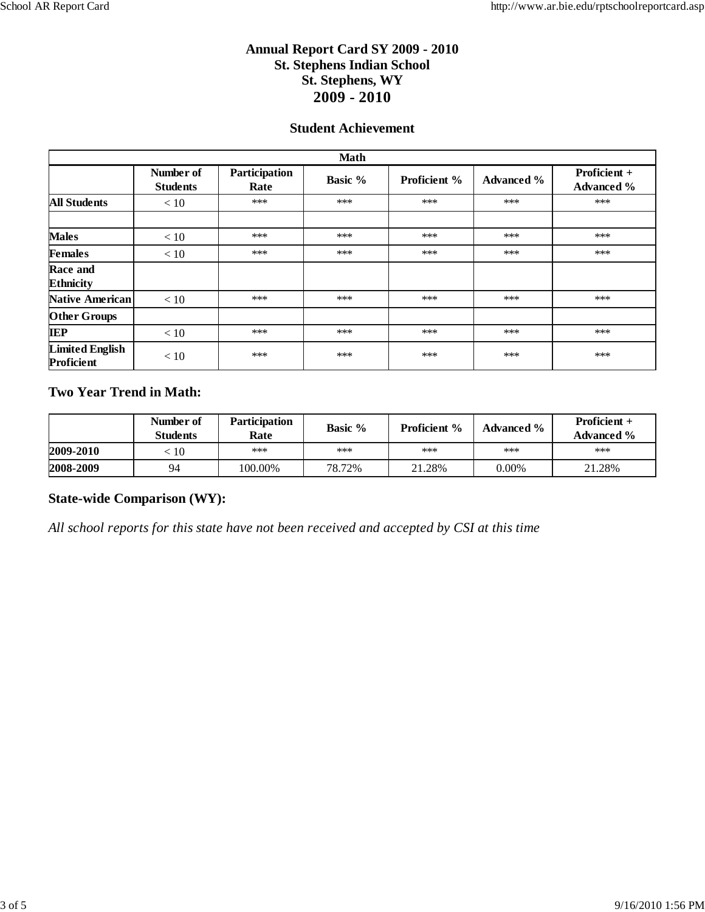#### **Student Achievement**

|                                      |                              |                       | <b>Math</b> |                     |                   |                                   |
|--------------------------------------|------------------------------|-----------------------|-------------|---------------------|-------------------|-----------------------------------|
|                                      | Number of<br><b>Students</b> | Participation<br>Rate | Basic %     | <b>Proficient %</b> | <b>Advanced</b> % | Proficient +<br><b>Advanced %</b> |
| <b>All Students</b>                  | < 10                         | $***$                 | ***         | ***                 | ***               | $***$                             |
|                                      |                              |                       |             |                     |                   |                                   |
| <b>Males</b>                         | < 10                         | ***                   | ***         | ***                 | ***               | ***                               |
| <b>Females</b>                       | < 10                         | ***                   | ***         | ***                 | ***               | $***$                             |
| Race and<br><b>Ethnicity</b>         |                              |                       |             |                     |                   |                                   |
| <b>Native American</b>               | $<10$                        | ***                   | ***         | ***                 | ***               | $***$                             |
| <b>Other Groups</b>                  |                              |                       |             |                     |                   |                                   |
| <b>IEP</b>                           | < 10                         | ***                   | ***         | ***                 | ***               | ***                               |
| <b>Limited English</b><br>Proficient | < 10                         | ***                   | ***         | ***                 | ***               | ***                               |

#### **Two Year Trend in Math:**

|           | Number of<br><b>Students</b> | <b>Participation</b><br>Rate | <b>Basic</b> % | <b>Proficient</b> % | <b>Advanced %</b> | <b>Proficient +</b><br><b>Advanced</b> % |
|-----------|------------------------------|------------------------------|----------------|---------------------|-------------------|------------------------------------------|
| 2009-2010 | $\overline{10}$              | ***                          | ***            | ***                 | ***               | ***                                      |
| 2008-2009 | 94                           | 100.00%                      | 78.72%         | 21.28%              | $0.00\%$          | 21.28%                                   |

#### **State-wide Comparison (WY):**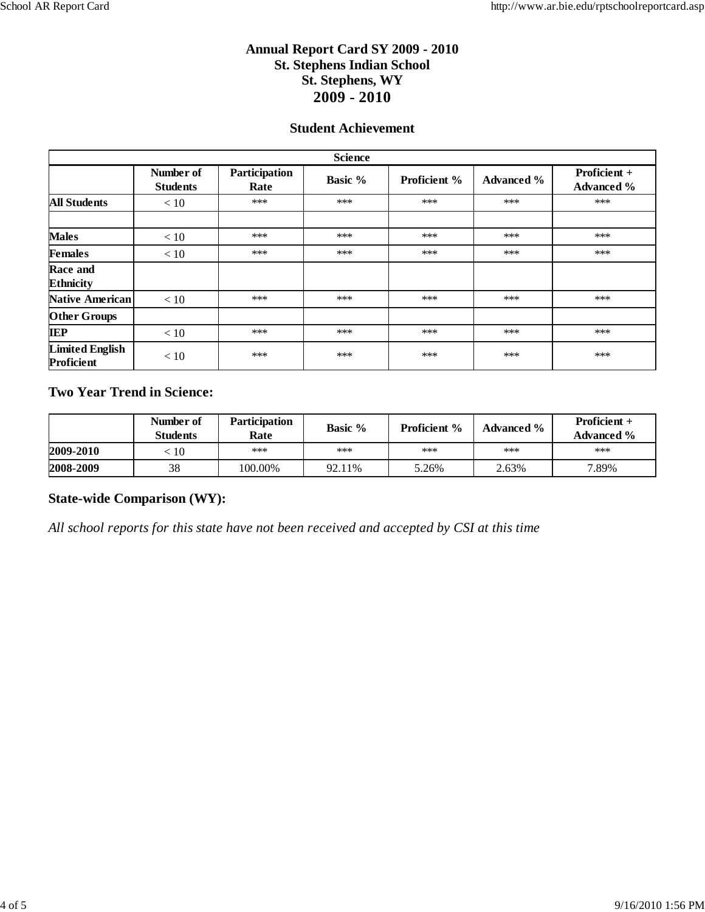#### **Student Achievement**

|                                      | <b>Science</b>               |                       |                |                     |                   |                                   |  |  |  |  |  |
|--------------------------------------|------------------------------|-----------------------|----------------|---------------------|-------------------|-----------------------------------|--|--|--|--|--|
|                                      | Number of<br><b>Students</b> | Participation<br>Rate | <b>Basic %</b> | <b>Proficient %</b> | <b>Advanced %</b> | Proficient +<br><b>Advanced %</b> |  |  |  |  |  |
| <b>All Students</b>                  | < 10                         | ***                   | ***            | ***                 | ***               | ***                               |  |  |  |  |  |
|                                      |                              |                       |                |                     |                   |                                   |  |  |  |  |  |
| <b>Males</b>                         | < 10                         | ***                   | ***            | ***                 | ***               | ***                               |  |  |  |  |  |
| <b>Females</b>                       | < 10                         | ***                   | ***            | ***                 | ***               | $***$                             |  |  |  |  |  |
| Race and<br><b>Ethnicity</b>         |                              |                       |                |                     |                   |                                   |  |  |  |  |  |
| <b>Native American</b>               | $<10$                        | ***                   | ***            | ***                 | ***               | ***                               |  |  |  |  |  |
| <b>Other Groups</b>                  |                              |                       |                |                     |                   |                                   |  |  |  |  |  |
| <b>IEP</b>                           | < 10                         | ***                   | ***            | ***                 | ***               | ***                               |  |  |  |  |  |
| <b>Limited English</b><br>Proficient | < 10                         | ***                   | ***            | ***                 | ***               | ***                               |  |  |  |  |  |

#### **Two Year Trend in Science:**

|           | Number of<br>Students | <b>Participation</b><br>Rate | <b>Basic</b> % | <b>Proficient</b> % | <b>Advanced %</b> | Proficient $+$<br><b>Advanced</b> % |
|-----------|-----------------------|------------------------------|----------------|---------------------|-------------------|-------------------------------------|
| 2009-2010 | : 10                  | ***                          | ***            | ***                 | $***$             | ***                                 |
| 2008-2009 | 38                    | 100.00%                      | 92.11%         | 5.26%               | 2.63%             | 7.89%                               |

#### **State-wide Comparison (WY):**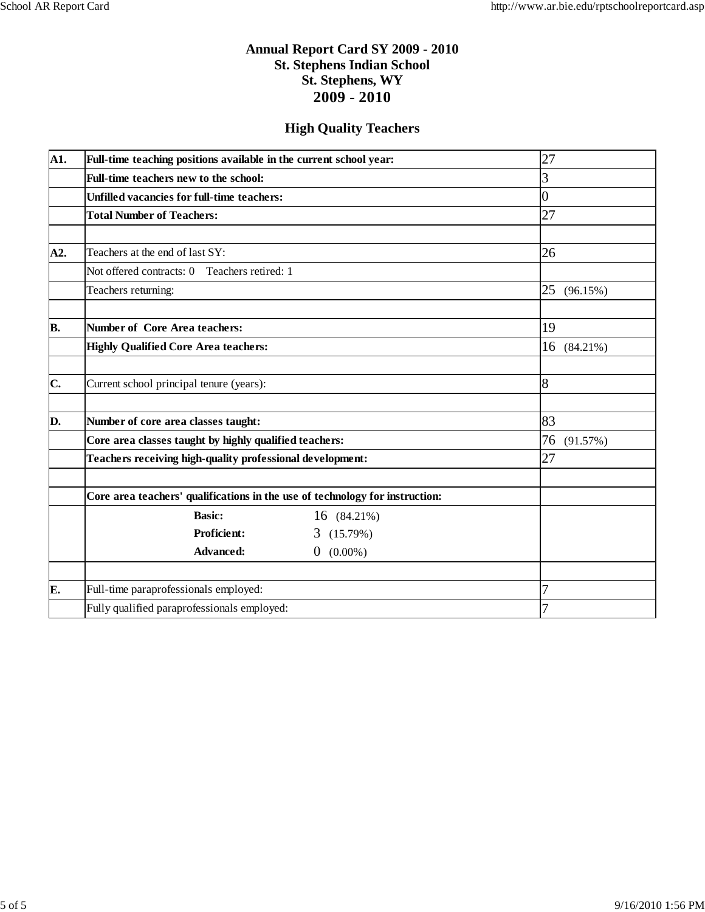#### **High Quality Teachers**

| A1. | Full-time teaching positions available in the current school year:           |                              | 27             |
|-----|------------------------------------------------------------------------------|------------------------------|----------------|
|     | Full-time teachers new to the school:                                        |                              | 3              |
|     | <b>Unfilled vacancies for full-time teachers:</b>                            |                              | 0              |
|     | <b>Total Number of Teachers:</b>                                             |                              | 27             |
|     |                                                                              |                              |                |
| A2. | Teachers at the end of last SY:                                              |                              | 26             |
|     | Not offered contracts: 0 Teachers retired: 1                                 |                              |                |
|     | Teachers returning:                                                          |                              | 25<br>(96.15%) |
|     |                                                                              |                              |                |
| B.  | Number of Core Area teachers:                                                | 19                           |                |
|     | <b>Highly Qualified Core Area teachers:</b>                                  | 16 (84.21%)                  |                |
|     |                                                                              |                              |                |
| C.  | Current school principal tenure (years):                                     |                              | $\overline{8}$ |
|     |                                                                              |                              |                |
| D.  | Number of core area classes taught:                                          |                              | 83             |
|     | Core area classes taught by highly qualified teachers:                       |                              | 76<br>(91.57%) |
|     | Teachers receiving high-quality professional development:                    |                              | 27             |
|     |                                                                              |                              |                |
|     | Core area teachers' qualifications in the use of technology for instruction: |                              |                |
|     | <b>Basic:</b>                                                                | 16 (84.21%)                  |                |
|     | <b>Proficient:</b>                                                           | 3(15.79%)                    |                |
|     | <b>Advanced:</b>                                                             | $(0.00\%)$<br>$\overline{0}$ |                |
|     |                                                                              |                              |                |
| E.  | Full-time paraprofessionals employed:                                        |                              | 7              |
|     | Fully qualified paraprofessionals employed:                                  |                              | 7              |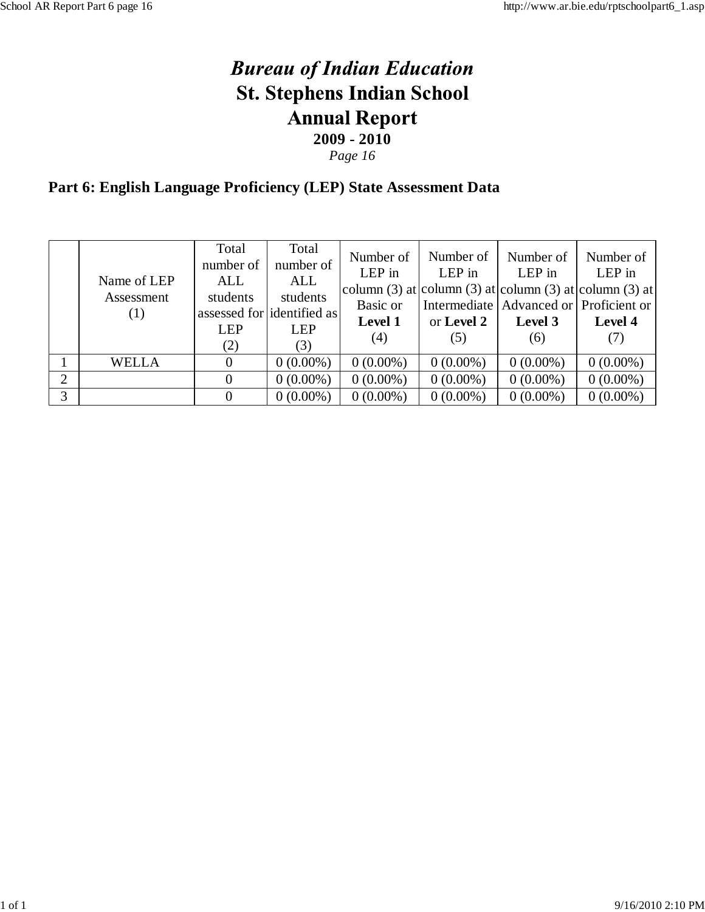*Page 16*

# **Part 6: English Language Proficiency (LEP) State Assessment Data**

|   | Name of LEP<br>Assessment<br>$\left( 1\right)$ | Total<br>number of<br>ALL<br>students<br><b>LEP</b><br>(2) | Total<br>number of<br>ALL<br>students<br>assessed for dentified as<br><b>LEP</b><br>(3) | Number of<br>LEP in<br>column (3) at column (3) at column (3) at column (3) at $\vert$<br>Basic or<br><b>Level 1</b><br>(4) | Number of<br>LEP in<br>or Level 2<br>(5) | Number of<br>LEP in<br>Intermediate   Advanced or   Proficient or  <br>Level 3<br>(6) | Number of<br>LEP in<br>Level 4<br>(7) |
|---|------------------------------------------------|------------------------------------------------------------|-----------------------------------------------------------------------------------------|-----------------------------------------------------------------------------------------------------------------------------|------------------------------------------|---------------------------------------------------------------------------------------|---------------------------------------|
|   | WELLA                                          | $\overline{0}$                                             | $0(0.00\%)$                                                                             | $0(0.00\%)$                                                                                                                 | $0(0.00\%)$                              | $0(0.00\%)$                                                                           | $0(0.00\%)$                           |
| 2 |                                                | 0                                                          | $0(0.00\%)$                                                                             | $0(0.00\%)$                                                                                                                 | $0(0.00\%)$                              | $0(0.00\%)$                                                                           | $0(0.00\%)$                           |
| 3 |                                                | $\Omega$                                                   | $0(0.00\%)$                                                                             | $0(0.00\%)$                                                                                                                 | $0(0.00\%)$                              | $0(0.00\%)$                                                                           | $0(0.00\%)$                           |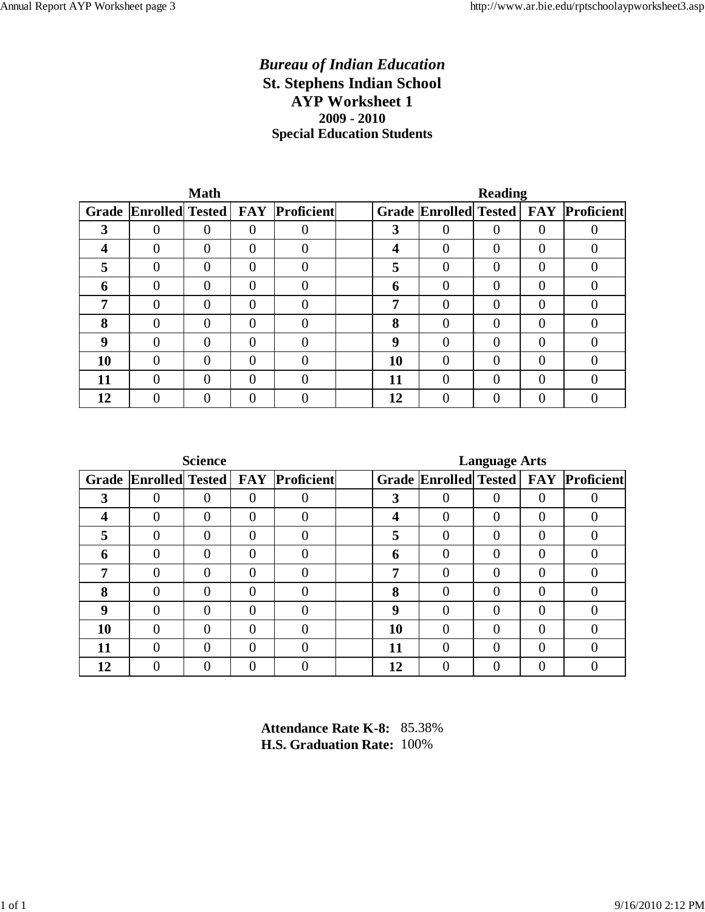#### *Bureau of Indian Education* **St. Stephens Indian School AYP Worksheet 1 2009 - 2010 Special Education Students**

|       |   | <b>Math</b> |                |                                    | <b>Reading</b> |          |          |          |                                        |  |  |
|-------|---|-------------|----------------|------------------------------------|----------------|----------|----------|----------|----------------------------------------|--|--|
| Grade |   |             |                | Enrolled Tested   FAY   Proficient |                |          |          |          | Grade Enrolled Tested   FAY Proficient |  |  |
| 3     | 0 | 0           | $\theta$       |                                    | 3              | 0        | 0        | $\Omega$ |                                        |  |  |
|       | 0 | $\Omega$    | $\overline{0}$ |                                    | 4              | 0        | $\Omega$ | $\Omega$ |                                        |  |  |
| 5     | 0 | $\theta$    | $\overline{0}$ |                                    | 5              | 0        | $\theta$ | $\theta$ |                                        |  |  |
| 6     | 0 | $\Omega$    | $\theta$       |                                    | 6              | 0        | 0        | $\Omega$ |                                        |  |  |
|       | 0 | $\theta$    | $\theta$       |                                    | 7              | 0        | $\Omega$ | $\Omega$ |                                        |  |  |
| 8     | 0 | $\Omega$    | $\Omega$       |                                    | 8              | 0        | $\Omega$ | $\Omega$ |                                        |  |  |
| 9     | 0 | $\Omega$    | $\theta$       |                                    | <b>Q</b>       | 0        | $\Omega$ | $\Omega$ |                                        |  |  |
| 10    | 0 | $\Omega$    | $\theta$       |                                    | 10             | $\theta$ | $\Omega$ | $\Omega$ |                                        |  |  |
| 11    | 0 | $\theta$    | $\theta$       |                                    | 11             | 0        | $\theta$ | $\theta$ |                                        |  |  |
| 12    |   | 0           | 0              |                                    | 12             |          | 0        | 0        |                                        |  |  |

|       |          | <b>Science</b> |                |                                       | <b>Language Arts</b> |          |   |                |                                        |  |  |
|-------|----------|----------------|----------------|---------------------------------------|----------------------|----------|---|----------------|----------------------------------------|--|--|
| Grade |          |                |                | <b>Enrolled Tested FAY Proficient</b> |                      |          |   |                | Grade Enrolled Tested   FAY Proficient |  |  |
| 3     | 0        | 0              | $\overline{0}$ |                                       | 3                    |          | 0 | 0              |                                        |  |  |
| 4     | 0        | 0              | $\theta$       |                                       | 4                    | 0        | 0 | 0              | $\theta$                               |  |  |
| 5     | $\theta$ | $\theta$       | $\theta$       | $\Omega$                              | 5                    | 0        | 0 | $\overline{0}$ | $\theta$                               |  |  |
| 6     | 0        | 0              | $\theta$       | $\theta$                              | 6                    | 0        | 0 | $\Omega$       | $\Omega$                               |  |  |
| 7     | 0        | 0              | $\Omega$       |                                       | 7                    | 0        | 0 | $\Omega$       | $\Omega$                               |  |  |
| 8     | 0        | $\Omega$       | $\theta$       |                                       | 8                    | $\Omega$ | 0 | $\Omega$       | $\theta$                               |  |  |
| 9     | 0        | $\Omega$       | $\theta$       |                                       | <b>Q</b>             | 0        | 0 | $\Omega$       |                                        |  |  |
| 10    | 0        | $\theta$       | $\overline{0}$ |                                       | 10                   | $\theta$ | 0 | $\Omega$       | $\Omega$                               |  |  |
| 11    | 0        | $\theta$       | $\theta$       | $\theta$                              | 11                   | 0        | 0 | 0              |                                        |  |  |
| 12    | 0        | 0              | $\theta$       |                                       | 12                   | 0        |   |                |                                        |  |  |

**Attendance Rate K-8:** 85.38% **H.S. Graduation Rate:** 100%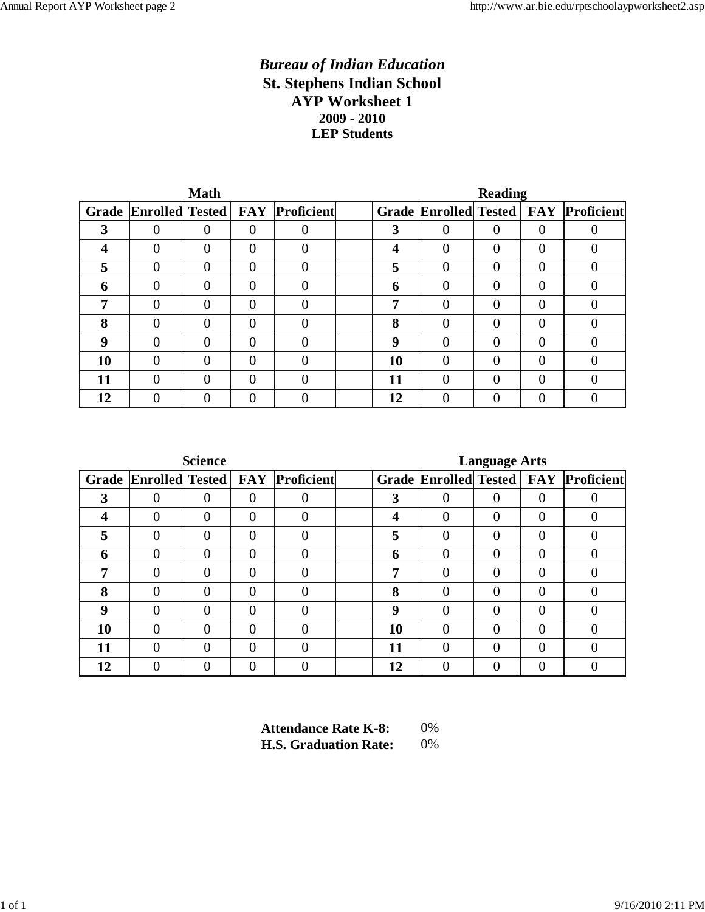#### *Bureau of Indian Education* **St. Stephens Indian School AYP Worksheet 1 2009 - 2010 LEP Students**

|       |          | <b>Math</b> |          |                                       | <b>Reading</b> |          |                |          |                                             |  |  |
|-------|----------|-------------|----------|---------------------------------------|----------------|----------|----------------|----------|---------------------------------------------|--|--|
| Grade |          |             |          | <b>Enrolled Tested FAY Proficient</b> |                |          |                |          | <b>Grade Enrolled Tested FAY Proficient</b> |  |  |
| 3     | $\theta$ | 0           | $\theta$ |                                       | 3              | 0        | $\Omega$       | $\Omega$ |                                             |  |  |
| 4     | $\theta$ | 0           | $\theta$ |                                       | 4              | 0        | $\overline{0}$ | $\Omega$ |                                             |  |  |
| 5     | 0        | 0           | $\Omega$ |                                       | 5              | 0        | $\Omega$       | $\Omega$ |                                             |  |  |
| 6     | $\Omega$ | $\Omega$    | $\theta$ |                                       | 6              | 0        | 0              | $\Omega$ |                                             |  |  |
| 7     | $\Omega$ | 0           | $\theta$ |                                       | 7              | 0        | $\Omega$       | 0        |                                             |  |  |
| 8     | $\Omega$ | 0           | $\theta$ |                                       | 8              | 0        | $\Omega$       | $\Omega$ |                                             |  |  |
| 9     | $\Omega$ | 0           | $\Omega$ |                                       | <b>Q</b>       | 0        | $\Omega$       | $\Omega$ |                                             |  |  |
| 10    | $\Omega$ | $\Omega$    | $\Omega$ |                                       | 10             | $\theta$ | $\Omega$       | $\Omega$ |                                             |  |  |
| 11    | $\Omega$ | 0           | $\theta$ |                                       | 11             | 0        | $\Omega$       | $\Omega$ |                                             |  |  |
| 12    | 0        | 0           | 0        |                                       | 12             |          |                |          |                                             |  |  |

|       |          | <b>Science</b> |                |                                       | <b>Language Arts</b> |          |   |                |                                        |  |  |
|-------|----------|----------------|----------------|---------------------------------------|----------------------|----------|---|----------------|----------------------------------------|--|--|
| Grade |          |                |                | <b>Enrolled Tested FAY Proficient</b> |                      |          |   |                | Grade Enrolled Tested   FAY Proficient |  |  |
| 3     | 0        | 0              | $\overline{0}$ |                                       | 3                    |          | 0 | 0              |                                        |  |  |
| 4     | 0        | 0              | $\theta$       |                                       | 4                    | 0        | 0 | 0              | $\theta$                               |  |  |
| 5     | $\theta$ | $\theta$       | $\theta$       | $\Omega$                              | 5                    | 0        | 0 | $\overline{0}$ | $\theta$                               |  |  |
| 6     | 0        | 0              | $\theta$       | $\theta$                              | 6                    | 0        | 0 | $\Omega$       | $\Omega$                               |  |  |
| 7     | 0        | 0              | $\Omega$       |                                       | 7                    | 0        | 0 | $\Omega$       | $\Omega$                               |  |  |
| 8     | 0        | $\Omega$       | $\theta$       |                                       | 8                    | $\Omega$ | 0 | $\Omega$       | $\theta$                               |  |  |
| 9     | 0        | $\Omega$       | $\theta$       |                                       | <b>Q</b>             | 0        | 0 | $\Omega$       |                                        |  |  |
| 10    | 0        | $\theta$       | $\overline{0}$ |                                       | 10                   | $\theta$ | 0 | $\Omega$       | $\Omega$                               |  |  |
| 11    | 0        | $\theta$       | $\theta$       | $\theta$                              | 11                   | 0        | 0 | 0              |                                        |  |  |
| 12    | 0        | 0              | $\theta$       |                                       | 12                   | 0        |   |                |                                        |  |  |

| <b>Attendance Rate K-8:</b>  | $0\%$ |
|------------------------------|-------|
| <b>H.S. Graduation Rate:</b> | $0\%$ |